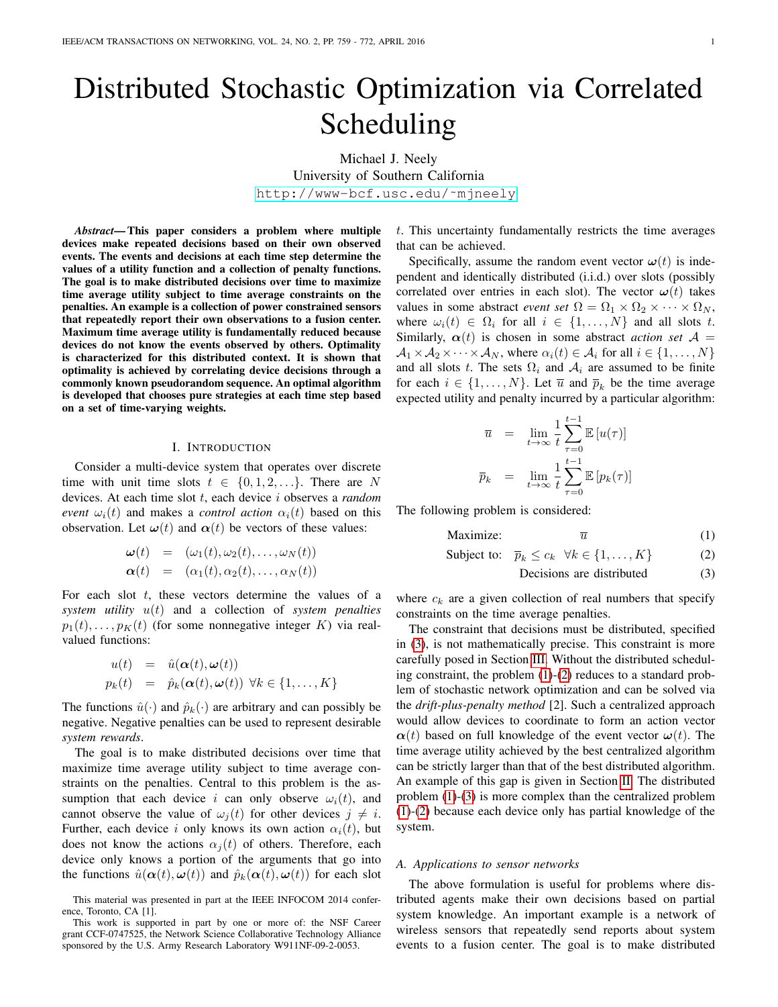# Distributed Stochastic Optimization via Correlated Scheduling

Michael J. Neely University of Southern California [http://www-bcf.usc.edu/˜mjneely](http://www-bcf.usc.edu/~mjneely)

*Abstract*— This paper considers a problem where multiple devices make repeated decisions based on their own observed events. The events and decisions at each time step determine the values of a utility function and a collection of penalty functions. The goal is to make distributed decisions over time to maximize time average utility subject to time average constraints on the penalties. An example is a collection of power constrained sensors that repeatedly report their own observations to a fusion center. Maximum time average utility is fundamentally reduced because devices do not know the events observed by others. Optimality is characterized for this distributed context. It is shown that optimality is achieved by correlating device decisions through a commonly known pseudorandom sequence. An optimal algorithm is developed that chooses pure strategies at each time step based on a set of time-varying weights.

## I. INTRODUCTION

Consider a multi-device system that operates over discrete time with unit time slots  $t \in \{0, 1, 2, \ldots\}$ . There are N devices. At each time slot t, each device i observes a *random event*  $\omega_i(t)$  and makes a *control action*  $\alpha_i(t)$  based on this observation. Let  $\omega(t)$  and  $\alpha(t)$  be vectors of these values:

$$
\begin{array}{rcl}\n\boldsymbol{\omega}(t) & = & \left(\omega_1(t), \omega_2(t), \dots, \omega_N(t)\right) \\
\boldsymbol{\alpha}(t) & = & \left(\alpha_1(t), \alpha_2(t), \dots, \alpha_N(t)\right)\n\end{array}
$$

For each slot  $t$ , these vectors determine the values of a *system utility* u(t) and a collection of *system penalties*  $p_1(t), \ldots, p_K(t)$  (for some nonnegative integer K) via realvalued functions:

$$
u(t) = \hat{u}(\alpha(t), \omega(t))
$$
  

$$
p_k(t) = \hat{p}_k(\alpha(t), \omega(t)) \ \forall k \in \{1, ..., K\}
$$

The functions  $\hat{u}(\cdot)$  and  $\hat{p}_k(\cdot)$  are arbitrary and can possibly be negative. Negative penalties can be used to represent desirable *system rewards*.

The goal is to make distributed decisions over time that maximize time average utility subject to time average constraints on the penalties. Central to this problem is the assumption that each device i can only observe  $\omega_i(t)$ , and cannot observe the value of  $\omega_i(t)$  for other devices  $j \neq i$ . Further, each device i only knows its own action  $\alpha_i(t)$ , but does not know the actions  $\alpha_i(t)$  of others. Therefore, each device only knows a portion of the arguments that go into the functions  $\hat{u}(\alpha(t), \omega(t))$  and  $\hat{p}_k(\alpha(t), \omega(t))$  for each slot

t. This uncertainty fundamentally restricts the time averages that can be achieved.

Specifically, assume the random event vector  $\boldsymbol{\omega}(t)$  is independent and identically distributed (i.i.d.) over slots (possibly correlated over entries in each slot). The vector  $\omega(t)$  takes values in some abstract *event set*  $\Omega = \Omega_1 \times \Omega_2 \times \cdots \times \Omega_N$ , where  $\omega_i(t) \in \Omega_i$  for all  $i \in \{1, ..., N\}$  and all slots t. Similarly,  $\alpha(t)$  is chosen in some abstract *action set*  $\mathcal{A} =$  $\mathcal{A}_1 \times \mathcal{A}_2 \times \cdots \times \mathcal{A}_N$ , where  $\alpha_i(t) \in \mathcal{A}_i$  for all  $i \in \{1, \ldots, N\}$ and all slots t. The sets  $\Omega_i$  and  $\mathcal{A}_i$  are assumed to be finite for each  $i \in \{1, ..., N\}$ . Let  $\overline{u}$  and  $\overline{p}_k$  be the time average expected utility and penalty incurred by a particular algorithm:

$$
\overline{u} = \lim_{t \to \infty} \frac{1}{t} \sum_{\tau=0}^{t-1} \mathbb{E} [u(\tau)]
$$
  

$$
\overline{p}_k = \lim_{t \to \infty} \frac{1}{t} \sum_{\tau=0}^{t-1} \mathbb{E} [p_k(\tau)]
$$

The following problem is considered:

<span id="page-0-0"></span>
$$
\text{Maximize:} \qquad \qquad \overline{u} \tag{1}
$$

$$
Subject to: \quad \overline{p}_k \le c_k \quad \forall k \in \{1, \dots, K\} \tag{2}
$$

Decisions are distributed (3)

where  $c_k$  are a given collection of real numbers that specify constraints on the time average penalties.

The constraint that decisions must be distributed, specified in [\(3\)](#page-0-0), is not mathematically precise. This constraint is more carefully posed in Section [III.](#page-3-0) Without the distributed scheduling constraint, the problem [\(1\)](#page-0-0)-[\(2\)](#page-0-0) reduces to a standard problem of stochastic network optimization and can be solved via the *drift-plus-penalty method* [2]. Such a centralized approach would allow devices to coordinate to form an action vector  $\alpha(t)$  based on full knowledge of the event vector  $\omega(t)$ . The time average utility achieved by the best centralized algorithm can be strictly larger than that of the best distributed algorithm. An example of this gap is given in Section [II.](#page-2-0) The distributed problem [\(1\)](#page-0-0)-[\(3\)](#page-0-0) is more complex than the centralized problem [\(1\)](#page-0-0)-[\(2\)](#page-0-0) because each device only has partial knowledge of the system.

#### *A. Applications to sensor networks*

The above formulation is useful for problems where distributed agents make their own decisions based on partial system knowledge. An important example is a network of wireless sensors that repeatedly send reports about system events to a fusion center. The goal is to make distributed

This material was presented in part at the IEEE INFOCOM 2014 conference, Toronto, CA [1].

This work is supported in part by one or more of: the NSF Career grant CCF-0747525, the Network Science Collaborative Technology Alliance sponsored by the U.S. Army Research Laboratory W911NF-09-2-0053.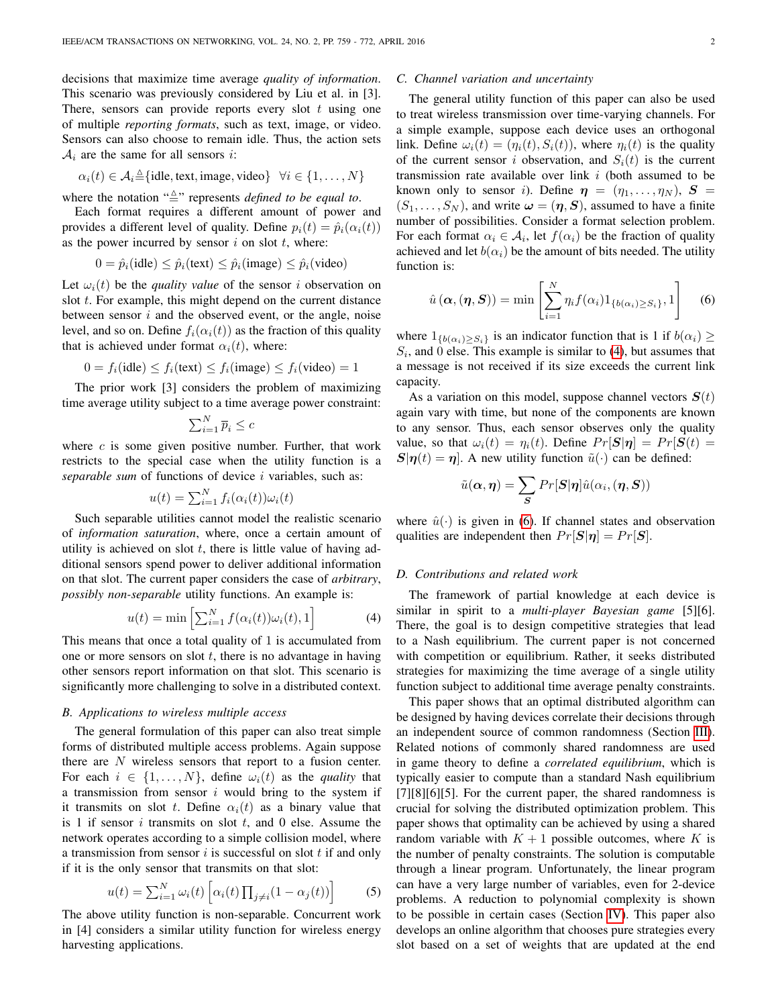decisions that maximize time average *quality of information*. This scenario was previously considered by Liu et al. in [3]. There, sensors can provide reports every slot  $t$  using one of multiple *reporting formats*, such as text, image, or video. Sensors can also choose to remain idle. Thus, the action sets  $A_i$  are the same for all sensors *i*:

$$
\alpha_i(t) \in \mathcal{A}_i \triangleq \{\text{idle}, \text{text}, \text{image}, \text{video}\} \quad \forall i \in \{1, \dots, N\}
$$

where the notation  $\sqrt{\Delta}$ " represents *defined to be equal to*.

Each format requires a different amount of power and provides a different level of quality. Define  $p_i(t) = \hat{p}_i(\alpha_i(t))$ as the power incurred by sensor  $i$  on slot  $t$ , where:

$$
0 = \hat{p}_i(\text{idle}) \le \hat{p}_i(\text{text}) \le \hat{p}_i(\text{image}) \le \hat{p}_i(\text{video})
$$

Let  $\omega_i(t)$  be the *quality value* of the sensor i observation on slot  $t$ . For example, this might depend on the current distance between sensor  $i$  and the observed event, or the angle, noise level, and so on. Define  $f_i(\alpha_i(t))$  as the fraction of this quality that is achieved under format  $\alpha_i(t)$ , where:

$$
0 = f_i(\text{idle}) \le f_i(\text{text}) \le f_i(\text{image}) \le f_i(\text{video}) = 1
$$

The prior work [3] considers the problem of maximizing time average utility subject to a time average power constraint:

$$
\sum_{i=1}^{N} \overline{p}_i \leq c
$$

where  $c$  is some given positive number. Further, that work restricts to the special case when the utility function is a *separable sum* of functions of device i variables, such as:

$$
u(t) = \sum_{i=1}^{N} f_i(\alpha_i(t))\omega_i(t)
$$

Such separable utilities cannot model the realistic scenario of *information saturation*, where, once a certain amount of utility is achieved on slot  $t$ , there is little value of having additional sensors spend power to deliver additional information on that slot. The current paper considers the case of *arbitrary*, *possibly non-separable* utility functions. An example is:

<span id="page-1-0"></span>
$$
u(t) = \min\left[\sum_{i=1}^{N} f(\alpha_i(t))\omega_i(t), 1\right]
$$
 (4)

This means that once a total quality of 1 is accumulated from one or more sensors on slot  $t$ , there is no advantage in having other sensors report information on that slot. This scenario is significantly more challenging to solve in a distributed context.

## *B. Applications to wireless multiple access*

The general formulation of this paper can also treat simple forms of distributed multiple access problems. Again suppose there are N wireless sensors that report to a fusion center. For each  $i \in \{1, ..., N\}$ , define  $\omega_i(t)$  as the *quality* that a transmission from sensor  $i$  would bring to the system if it transmits on slot t. Define  $\alpha_i(t)$  as a binary value that is 1 if sensor  $i$  transmits on slot  $t$ , and 0 else. Assume the network operates according to a simple collision model, where a transmission from sensor  $i$  is successful on slot  $t$  if and only if it is the only sensor that transmits on that slot:

<span id="page-1-2"></span>
$$
u(t) = \sum_{i=1}^{N} \omega_i(t) \left[ \alpha_i(t) \prod_{j \neq i} (1 - \alpha_j(t)) \right]
$$
 (5)

The above utility function is non-separable. Concurrent work in [4] considers a similar utility function for wireless energy harvesting applications.

## *C. Channel variation and uncertainty*

The general utility function of this paper can also be used to treat wireless transmission over time-varying channels. For a simple example, suppose each device uses an orthogonal link. Define  $\omega_i(t) = (\eta_i(t), S_i(t))$ , where  $\eta_i(t)$  is the quality of the current sensor i observation, and  $S_i(t)$  is the current transmission rate available over link  $i$  (both assumed to be known only to sensor *i*). Define  $\eta = (\eta_1, \dots, \eta_N)$ ,  $S =$  $(S_1, \ldots, S_N)$ , and write  $\boldsymbol{\omega} = (\boldsymbol{\eta}, \boldsymbol{S})$ , assumed to have a finite number of possibilities. Consider a format selection problem. For each format  $\alpha_i \in \mathcal{A}_i$ , let  $f(\alpha_i)$  be the fraction of quality achieved and let  $b(\alpha_i)$  be the amount of bits needed. The utility function is:

<span id="page-1-1"></span>
$$
\hat{u}(\boldsymbol{\alpha},(\boldsymbol{\eta},\boldsymbol{S})) = \min\left[\sum_{i=1}^{N} \eta_i f(\alpha_i) 1_{\{b(\alpha_i) \geq S_i\}}, 1\right] \quad (6)
$$

where  $1_{\{b(\alpha_i) > S_i\}}$  is an indicator function that is 1 if  $b(\alpha_i) \geq$  $S_i$ , and 0 else. This example is similar to [\(4\)](#page-1-0), but assumes that a message is not received if its size exceeds the current link capacity.

As a variation on this model, suppose channel vectors  $S(t)$ again vary with time, but none of the components are known to any sensor. Thus, each sensor observes only the quality value, so that  $\omega_i(t) = \eta_i(t)$ . Define  $Pr[\mathbf{S}|\boldsymbol{\eta}] = Pr[\mathbf{S}(t) =$  $\mathbf{S}|\boldsymbol{\eta}(t)=\boldsymbol{\eta}$ . A new utility function  $\tilde{u}(\cdot)$  can be defined:

$$
\tilde{u}(\boldsymbol{\alpha},\boldsymbol{\eta})=\sum_{\boldsymbol{S}}Pr[\boldsymbol{S}|\boldsymbol{\eta}]\hat{u}(\alpha_i,(\boldsymbol{\eta},\boldsymbol{S}))
$$

where  $\hat{u}(\cdot)$  is given in [\(6\)](#page-1-1). If channel states and observation qualities are independent then  $Pr[\mathbf{S}|\boldsymbol{\eta}] = Pr[\mathbf{S}].$ 

## *D. Contributions and related work*

The framework of partial knowledge at each device is similar in spirit to a *multi-player Bayesian game* [5][6]. There, the goal is to design competitive strategies that lead to a Nash equilibrium. The current paper is not concerned with competition or equilibrium. Rather, it seeks distributed strategies for maximizing the time average of a single utility function subject to additional time average penalty constraints.

This paper shows that an optimal distributed algorithm can be designed by having devices correlate their decisions through an independent source of common randomness (Section [III\)](#page-3-0). Related notions of commonly shared randomness are used in game theory to define a *correlated equilibrium*, which is typically easier to compute than a standard Nash equilibrium  $[7][8][6][5]$ . For the current paper, the shared randomness is crucial for solving the distributed optimization problem. This paper shows that optimality can be achieved by using a shared random variable with  $K + 1$  possible outcomes, where K is the number of penalty constraints. The solution is computable through a linear program. Unfortunately, the linear program can have a very large number of variables, even for 2-device problems. A reduction to polynomial complexity is shown to be possible in certain cases (Section [IV\)](#page-4-0). This paper also develops an online algorithm that chooses pure strategies every slot based on a set of weights that are updated at the end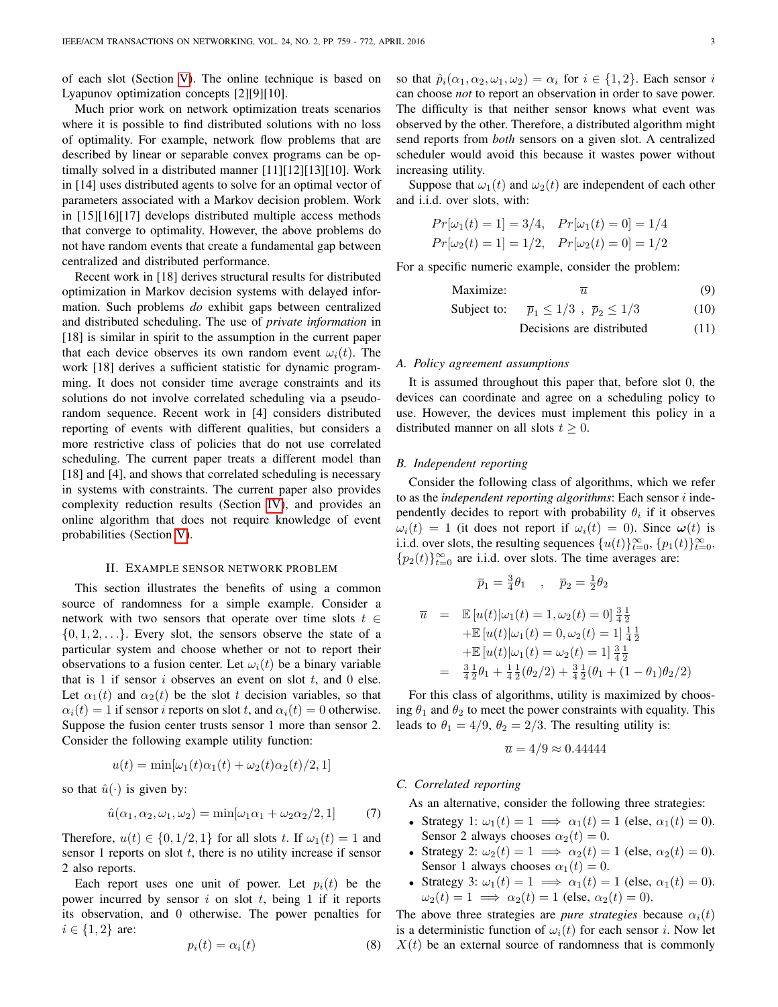of each slot (Section [V\)](#page-7-0). The online technique is based on Lyapunov optimization concepts [2][9][10].

Much prior work on network optimization treats scenarios where it is possible to find distributed solutions with no loss of optimality. For example, network flow problems that are described by linear or separable convex programs can be optimally solved in a distributed manner [11][12][13][10]. Work in [14] uses distributed agents to solve for an optimal vector of parameters associated with a Markov decision problem. Work in [15][16][17] develops distributed multiple access methods that converge to optimality. However, the above problems do not have random events that create a fundamental gap between centralized and distributed performance.

Recent work in [18] derives structural results for distributed optimization in Markov decision systems with delayed information. Such problems *do* exhibit gaps between centralized and distributed scheduling. The use of *private information* in [18] is similar in spirit to the assumption in the current paper that each device observes its own random event  $\omega_i(t)$ . The work [18] derives a sufficient statistic for dynamic programming. It does not consider time average constraints and its solutions do not involve correlated scheduling via a pseudorandom sequence. Recent work in [4] considers distributed reporting of events with different qualities, but considers a more restrictive class of policies that do not use correlated scheduling. The current paper treats a different model than [18] and [4], and shows that correlated scheduling is necessary in systems with constraints. The current paper also provides complexity reduction results (Section [IV\)](#page-4-0), and provides an online algorithm that does not require knowledge of event probabilities (Section [V\)](#page-7-0).

# II. EXAMPLE SENSOR NETWORK PROBLEM

<span id="page-2-0"></span>This section illustrates the benefits of using a common source of randomness for a simple example. Consider a network with two sensors that operate over time slots  $t \in$  $\{0, 1, 2, \ldots\}$ . Every slot, the sensors observe the state of a particular system and choose whether or not to report their observations to a fusion center. Let  $\omega_i(t)$  be a binary variable that is 1 if sensor  $i$  observes an event on slot  $t$ , and 0 else. Let  $\alpha_1(t)$  and  $\alpha_2(t)$  be the slot t decision variables, so that  $\alpha_i(t) = 1$  if sensor *i* reports on slot t, and  $\alpha_i(t) = 0$  otherwise. Suppose the fusion center trusts sensor 1 more than sensor 2. Consider the following example utility function:

$$
u(t) = \min[\omega_1(t)\alpha_1(t) + \omega_2(t)\alpha_2(t)/2, 1]
$$

so that  $\hat{u}(\cdot)$  is given by:

<span id="page-2-2"></span>
$$
\hat{u}(\alpha_1, \alpha_2, \omega_1, \omega_2) = \min[\omega_1 \alpha_1 + \omega_2 \alpha_2 / 2, 1] \tag{7}
$$

Therefore,  $u(t) \in \{0, 1/2, 1\}$  for all slots t. If  $\omega_1(t) = 1$  and sensor 1 reports on slot  $t$ , there is no utility increase if sensor 2 also reports.

Each report uses one unit of power. Let  $p_i(t)$  be the power incurred by sensor i on slot t, being 1 if it reports its observation, and 0 otherwise. The power penalties for  $i \in \{1, 2\}$  are:

<span id="page-2-1"></span>
$$
p_i(t) = \alpha_i(t) \tag{8}
$$

so that  $\hat{p}_i(\alpha_1, \alpha_2, \omega_1, \omega_2) = \alpha_i$  for  $i \in \{1, 2\}$ . Each sensor i can choose *not* to report an observation in order to save power. The difficulty is that neither sensor knows what event was observed by the other. Therefore, a distributed algorithm might send reports from *both* sensors on a given slot. A centralized scheduler would avoid this because it wastes power without increasing utility.

Suppose that  $\omega_1(t)$  and  $\omega_2(t)$  are independent of each other and i.i.d. over slots, with:

$$
Pr[\omega_1(t) = 1] = 3/4, Pr[\omega_1(t) = 0] = 1/4
$$
  
\n $Pr[\omega_2(t) = 1] = 1/2, Pr[\omega_2(t) = 0] = 1/2$ 

For a specific numeric example, consider the problem:

$$
Maximize: \t\t \overline{u} \t\t (9)
$$

Subject to: 
$$
\overline{p}_1 \le 1/3
$$
,  $\overline{p}_2 \le 1/3$  (10)

Decisions are distributed (11)

#### *A. Policy agreement assumptions*

It is assumed throughout this paper that, before slot 0, the devices can coordinate and agree on a scheduling policy to use. However, the devices must implement this policy in a distributed manner on all slots  $t > 0$ .

#### *B. Independent reporting*

Consider the following class of algorithms, which we refer to as the *independent reporting algorithms*: Each sensor i independently decides to report with probability  $\theta_i$  if it observes  $\omega_i(t) = 1$  (it does not report if  $\omega_i(t) = 0$ ). Since  $\omega(t)$  is i.i.d. over slots, the resulting sequences  $\{u(t)\}_{t=0}^{\infty}$ ,  $\{p_1(t)\}_{t=0}^{\infty}$ , { $p_2(t)$ }<sup>∞</sup><sub>t=0</sub> are i.i.d. over slots. The time averages are:

$$
\overline{p}_1 = \tfrac{3}{4}\theta_1 \quad , \quad \overline{p}_2 = \tfrac{1}{2}\theta_2
$$

$$
\overline{u} = \mathbb{E}[u(t)|\omega_1(t) = 1, \omega_2(t) = 0] \frac{3}{4} \frac{1}{2}
$$
  
+ $\mathbb{E}[u(t)|\omega_1(t) = 0, \omega_2(t) = 1] \frac{1}{4} \frac{1}{2}$   
+ $\mathbb{E}[u(t)|\omega_1(t) = \omega_2(t) = 1] \frac{3}{4} \frac{1}{2}$   
=  $\frac{3}{4} \frac{1}{2} \theta_1 + \frac{1}{4} \frac{1}{2} (\theta_2/2) + \frac{3}{4} \frac{1}{2} (\theta_1 + (1 - \theta_1) \theta_2/2)$ 

For this class of algorithms, utility is maximized by choosing  $\theta_1$  and  $\theta_2$  to meet the power constraints with equality. This leads to  $\theta_1 = 4/9$ ,  $\theta_2 = 2/3$ . The resulting utility is:

$$
\overline{u} = 4/9 \approx 0.44444
$$

#### <span id="page-2-3"></span>*C. Correlated reporting*

As an alternative, consider the following three strategies:

- Strategy 1:  $\omega_1(t) = 1 \implies \alpha_1(t) = 1$  (else,  $\alpha_1(t) = 0$ ). Sensor 2 always chooses  $\alpha_2(t) = 0$ .
- Strategy 2:  $\omega_2(t) = 1 \implies \alpha_2(t) = 1$  (else,  $\alpha_2(t) = 0$ ). Sensor 1 always chooses  $\alpha_1(t) = 0$ .
- Strategy 3:  $\omega_1(t) = 1 \implies \alpha_1(t) = 1$  (else,  $\alpha_1(t) = 0$ ).  $\omega_2(t) = 1 \implies \alpha_2(t) = 1$  (else,  $\alpha_2(t) = 0$ ).

The above three strategies are *pure strategies* because  $\alpha_i(t)$ is a deterministic function of  $\omega_i(t)$  for each sensor i. Now let  $X(t)$  be an external source of randomness that is commonly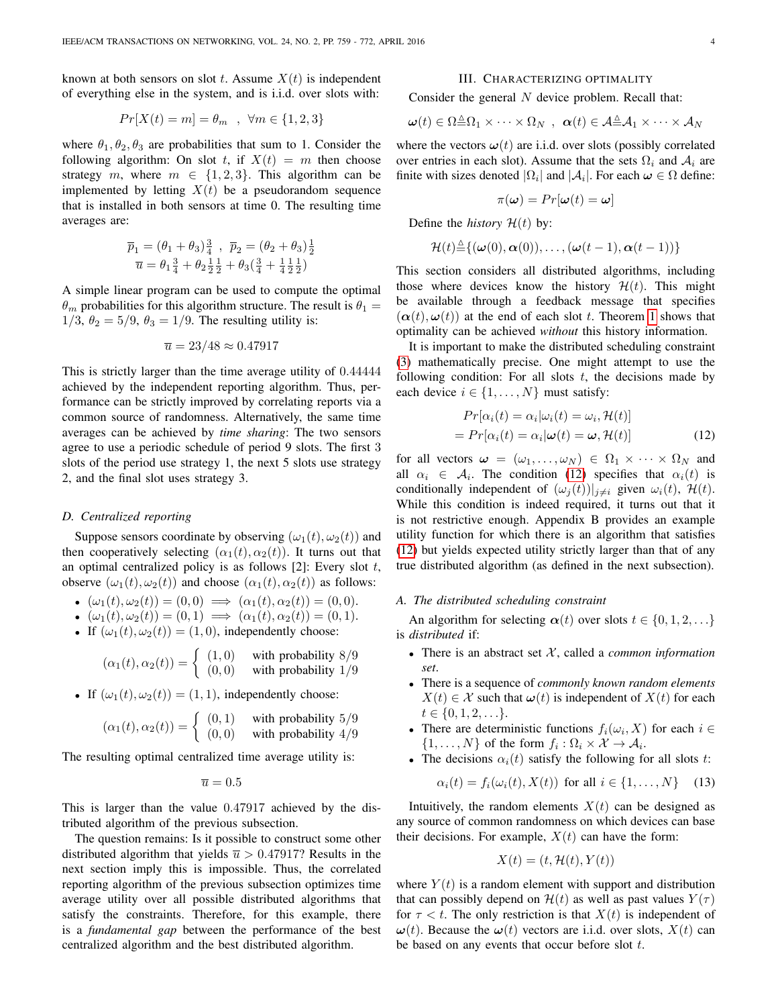known at both sensors on slot t. Assume  $X(t)$  is independent of everything else in the system, and is i.i.d. over slots with:

$$
Pr[X(t) = m] = \theta_m , \forall m \in \{1, 2, 3\}
$$

where  $\theta_1, \theta_2, \theta_3$  are probabilities that sum to 1. Consider the following algorithm: On slot t, if  $X(t) = m$  then choose strategy m, where  $m \in \{1, 2, 3\}$ . This algorithm can be implemented by letting  $X(t)$  be a pseudorandom sequence that is installed in both sensors at time 0. The resulting time averages are:

$$
\overline{p}_1 = (\theta_1 + \theta_3)^{\frac{3}{4}}, \ \overline{p}_2 = (\theta_2 + \theta_3)^{\frac{1}{2}} \n\overline{u} = \theta_1^{\frac{3}{4}} + \theta_2^{\frac{1}{2}} + \theta_3(\frac{3}{4} + \frac{1}{4}\frac{1}{2}\frac{1}{2})
$$

A simple linear program can be used to compute the optimal  $\theta_m$  probabilities for this algorithm structure. The result is  $\theta_1 =$  $1/3$ ,  $\theta_2 = 5/9$ ,  $\theta_3 = 1/9$ . The resulting utility is:

$$
\overline{u} = 23/48 \approx 0.47917
$$

This is strictly larger than the time average utility of 0.44444 achieved by the independent reporting algorithm. Thus, performance can be strictly improved by correlating reports via a common source of randomness. Alternatively, the same time averages can be achieved by *time sharing*: The two sensors agree to use a periodic schedule of period 9 slots. The first 3 slots of the period use strategy 1, the next 5 slots use strategy 2, and the final slot uses strategy 3.

## *D. Centralized reporting*

Suppose sensors coordinate by observing  $(\omega_1(t), \omega_2(t))$  and then cooperatively selecting  $(\alpha_1(t), \alpha_2(t))$ . It turns out that an optimal centralized policy is as follows  $[2]$ : Every slot t, observe  $(\omega_1(t), \omega_2(t))$  and choose  $(\alpha_1(t), \alpha_2(t))$  as follows:

- $(\omega_1(t), \omega_2(t)) = (0, 0) \implies (\alpha_1(t), \alpha_2(t)) = (0, 0).$
- $(\omega_1(t), \omega_2(t)) = (0, 1) \implies (\alpha_1(t), \alpha_2(t)) = (0, 1).$
- If  $(\omega_1(t), \omega_2(t)) = (1, 0)$ , independently choose:

$$
(\alpha_1(t), \alpha_2(t)) = \begin{cases} (1,0) & \text{with probability } 8/9\\ (0,0) & \text{with probability } 1/9 \end{cases}
$$

• If  $(\omega_1(t), \omega_2(t)) = (1, 1)$ , independently choose:

$$
(\alpha_1(t), \alpha_2(t)) = \begin{cases} (0,1) & \text{with probability } 5/9\\ (0,0) & \text{with probability } 4/9 \end{cases}
$$

The resulting optimal centralized time average utility is:

$$
\overline{u}=0.5
$$

This is larger than the value 0.47917 achieved by the distributed algorithm of the previous subsection.

The question remains: Is it possible to construct some other distributed algorithm that yields  $\overline{u} > 0.47917$ ? Results in the next section imply this is impossible. Thus, the correlated reporting algorithm of the previous subsection optimizes time average utility over all possible distributed algorithms that satisfy the constraints. Therefore, for this example, there is a *fundamental gap* between the performance of the best centralized algorithm and the best distributed algorithm.

#### III. CHARACTERIZING OPTIMALITY

<span id="page-3-0"></span>Consider the general  $N$  device problem. Recall that:

$$
\boldsymbol{\omega}(t) \in \Omega \triangleq \Omega_1 \times \cdots \times \Omega_N \ , \ \boldsymbol{\alpha}(t) \in \mathcal{A} \triangleq \mathcal{A}_1 \times \cdots \times \mathcal{A}_N
$$

where the vectors  $\boldsymbol{\omega}(t)$  are i.i.d. over slots (possibly correlated over entries in each slot). Assume that the sets  $\Omega_i$  and  $\mathcal{A}_i$  are finite with sizes denoted  $|\Omega_i|$  and  $|\mathcal{A}_i|$ . For each  $\omega \in \Omega$  define:

$$
\pi(\boldsymbol{\omega}) = Pr[\boldsymbol{\omega}(t) = \boldsymbol{\omega}]
$$

Define the *history*  $\mathcal{H}(t)$  by:

$$
\mathcal{H}(t) \triangleq \{(\boldsymbol{\omega}(0),\boldsymbol{\alpha}(0)),\ldots,(\boldsymbol{\omega}(t-1),\boldsymbol{\alpha}(t-1))\}
$$

This section considers all distributed algorithms, including those where devices know the history  $\mathcal{H}(t)$ . This might be available through a feedback message that specifies  $(\alpha(t), \omega(t))$  at the end of each slot t. Theorem [1](#page-4-1) shows that optimality can be achieved *without* this history information.

It is important to make the distributed scheduling constraint [\(3\)](#page-0-0) mathematically precise. One might attempt to use the following condition: For all slots  $t$ , the decisions made by each device  $i \in \{1, \ldots, N\}$  must satisfy:

<span id="page-3-1"></span>
$$
Pr[\alpha_i(t) = \alpha_i | \omega_i(t) = \omega_i, \mathcal{H}(t)]
$$
  
= 
$$
Pr[\alpha_i(t) = \alpha_i | \boldsymbol{\omega}(t) = \boldsymbol{\omega}, \mathcal{H}(t)]
$$
 (12)

for all vectors  $\omega = (\omega_1, \dots, \omega_N) \in \Omega_1 \times \cdots \times \Omega_N$  and all  $\alpha_i \in \mathcal{A}_i$ . The condition [\(12\)](#page-3-1) specifies that  $\alpha_i(t)$  is conditionally independent of  $(\omega_i(t))|_{i\neq i}$  given  $\omega_i(t)$ ,  $\mathcal{H}(t)$ . While this condition is indeed required, it turns out that it is not restrictive enough. Appendix B provides an example utility function for which there is an algorithm that satisfies [\(12\)](#page-3-1) but yields expected utility strictly larger than that of any true distributed algorithm (as defined in the next subsection).

## *A. The distributed scheduling constraint*

An algorithm for selecting  $\alpha(t)$  over slots  $t \in \{0, 1, 2, \ldots\}$ is *distributed* if:

- There is an abstract set  $X$ , called a *common information set*.
- There is a sequence of *commonly known random elements*  $X(t) \in \mathcal{X}$  such that  $\omega(t)$  is independent of  $X(t)$  for each  $t \in \{0, 1, 2, \ldots\}.$
- There are deterministic functions  $f_i(\omega_i, X)$  for each  $i \in$  $\{1, \ldots, N\}$  of the form  $f_i : \Omega_i \times \mathcal{X} \to \mathcal{A}_i$ .
- The decisions  $\alpha_i(t)$  satisfy the following for all slots t:

<span id="page-3-2"></span>
$$
\alpha_i(t) = f_i(\omega_i(t), X(t)) \text{ for all } i \in \{1, \dots, N\} \tag{13}
$$

Intuitively, the random elements  $X(t)$  can be designed as any source of common randomness on which devices can base their decisions. For example,  $X(t)$  can have the form:

$$
X(t) = (t, \mathcal{H}(t), Y(t))
$$

where  $Y(t)$  is a random element with support and distribution that can possibly depend on  $\mathcal{H}(t)$  as well as past values  $Y(\tau)$ for  $\tau < t$ . The only restriction is that  $X(t)$  is independent of  $\omega(t)$ . Because the  $\omega(t)$  vectors are i.i.d. over slots,  $X(t)$  can be based on any events that occur before slot  $t$ .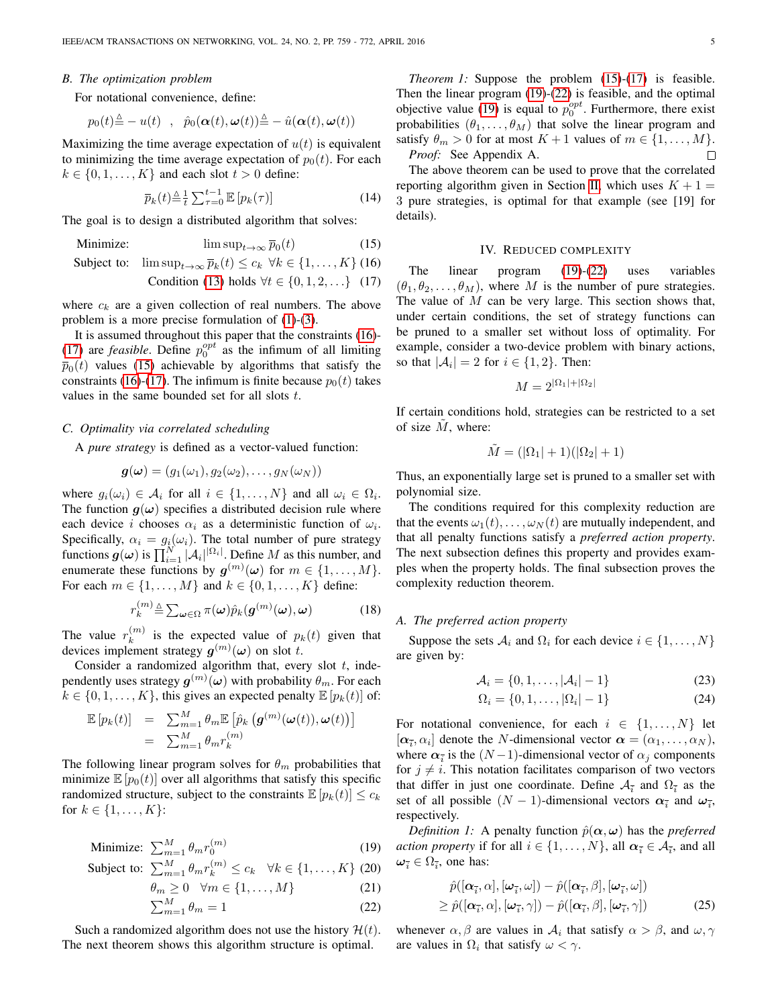#### *B. The optimization problem*

For notational convenience, define:

$$
p_0(t) \triangleq -u(t) , \quad \hat{p}_0(\boldsymbol{\alpha}(t),\boldsymbol{\omega}(t)) \triangleq - \hat{u}(\boldsymbol{\alpha}(t),\boldsymbol{\omega}(t))
$$

Maximizing the time average expectation of  $u(t)$  is equivalent to minimizing the time average expectation of  $p_0(t)$ . For each  $k \in \{0, 1, \ldots, K\}$  and each slot  $t > 0$  define:

<span id="page-4-6"></span>
$$
\overline{p}_k(t) \stackrel{\Delta}{=} \frac{1}{t} \sum_{\tau=0}^{t-1} \mathbb{E}\left[p_k(\tau)\right] \tag{14}
$$

The goal is to design a distributed algorithm that solves:

<span id="page-4-2"></span>Minimize:  $\limsup_{t\to\infty} \overline{p}_0(t)$  $(15)$ 

Subject to: 
$$
\limsup_{t\to\infty} \overline{p}_k(t) \leq c_k \ \forall k \in \{1, ..., K\}
$$
 (16)

Condition (13) holds 
$$
\forall t \in \{0, 1, 2, ...\}
$$
 (17)

where  $c_k$  are a given collection of real numbers. The above problem is a more precise formulation of [\(1\)](#page-0-0)-[\(3\)](#page-0-0).

It is assumed throughout this paper that the constraints [\(16\)](#page-4-2)- [\(17\)](#page-4-2) are *feasible*. Define  $p_0^{opt}$  as the infimum of all limiting  $\overline{p}_0(t)$  values [\(15\)](#page-4-2) achievable by algorithms that satisfy the constraints [\(16\)](#page-4-2)-[\(17\)](#page-4-2). The infimum is finite because  $p_0(t)$  takes values in the same bounded set for all slots t.

#### <span id="page-4-8"></span>*C. Optimality via correlated scheduling*

A *pure strategy* is defined as a vector-valued function:

$$
\boldsymbol{g}(\boldsymbol{\omega})=(g_1(\omega_1),g_2(\omega_2),\ldots,g_N(\omega_N))
$$

where  $g_i(\omega_i) \in \mathcal{A}_i$  for all  $i \in \{1, ..., N\}$  and all  $\omega_i \in \Omega_i$ . The function  $g(\omega)$  specifies a distributed decision rule where each device *i* chooses  $\alpha_i$  as a deterministic function of  $\omega_i$ . Specifically,  $\alpha_i = g_i(\omega_i)$ . The total number of pure strategy functions  $g(\omega)$  is  $\prod_{i=1}^{N} |\mathcal{A}_i|^{|\Omega_i|}$ . Define M as this number, and enumerate these functions by  $g^{(m)}(\omega)$  for  $m \in \{1, ..., M\}$ . For each  $m \in \{1, ..., M\}$  and  $k \in \{0, 1, ..., K\}$  define:

<span id="page-4-7"></span>
$$
r_k^{(m)} \triangleq \sum_{\omega \in \Omega} \pi(\omega) \hat{p}_k(g^{(m)}(\omega), \omega)
$$
 (18)

The value  $r_k^{(m)}$  $\binom{m}{k}$  is the expected value of  $p_k(t)$  given that devices implement strategy  $g^{(m)}(\omega)$  on slot t.

Consider a randomized algorithm that, every slot  $t$ , independently uses strategy  $\bm{g}^{(m)}(\bm{\omega})$  with probability  $\theta_m.$  For each  $k \in \{0, 1, \ldots, K\}$ , this gives an expected penalty  $\mathbb{E}[p_k(t)]$  of:

$$
\mathbb{E}\left[p_k(t)\right] = \sum_{m=1}^{M} \theta_m \mathbb{E}\left[\hat{p}_k\left(\mathbf{g}^{(m)}(\boldsymbol{\omega}(t)), \boldsymbol{\omega}(t)\right)\right]
$$
  

$$
= \sum_{m=1}^{M} \theta_m r_k^{(m)}
$$

The following linear program solves for  $\theta_m$  probabilities that minimize  $\mathbb{E}[p_0(t)]$  over all algorithms that satisfy this specific randomized structure, subject to the constraints  $\mathbb{E}[p_k(t)] \leq c_k$ for  $k \in \{1, ..., K\}$ :

<span id="page-4-3"></span>Minimize: 
$$
\sum_{m=1}^{M} \theta_m r_0^{(m)}
$$
 (19)

Subject to: 
$$
\sum_{m=1}^{M} \theta_m r_k^{(m)} \leq c_k \quad \forall k \in \{1, ..., K\} \text{ (20)}
$$

$$
\theta_m \ge 0 \quad \forall m \in \{1, \dots, M\} \tag{21}
$$

$$
\sum_{m=1}^{M} \theta_m = 1 \tag{22}
$$

<span id="page-4-1"></span>Such a randomized algorithm does not use the history  $\mathcal{H}(t)$ . The next theorem shows this algorithm structure is optimal.

*Theorem 1:* Suppose the problem [\(15\)](#page-4-2)-[\(17\)](#page-4-2) is feasible. Then the linear program [\(19\)](#page-4-3)-[\(22\)](#page-4-3) is feasible, and the optimal objective value [\(19\)](#page-4-3) is equal to  $p_0^{opt}$ . Furthermore, there exist probabilities  $(\theta_1, \dots, \theta_M)$  that solve the linear program and satisfy  $\theta_m > 0$  for at most  $K + 1$  values of  $m \in \{1, \ldots, M\}$ . *Proof:* See Appendix A. П

The above theorem can be used to prove that the correlated reporting algorithm given in Section [II,](#page-2-0) which uses  $K + 1 =$ 3 pure strategies, is optimal for that example (see [19] for details).

#### IV. REDUCED COMPLEXITY

<span id="page-4-0"></span>The linear program [\(19\)](#page-4-3)-[\(22\)](#page-4-3) uses variables  $(\theta_1, \theta_2, \dots, \theta_M)$ , where M is the number of pure strategies. The value of  $M$  can be very large. This section shows that, under certain conditions, the set of strategy functions can be pruned to a smaller set without loss of optimality. For example, consider a two-device problem with binary actions, so that  $|\mathcal{A}_i| = 2$  for  $i \in \{1, 2\}$ . Then:

$$
M = 2^{|\Omega_1| + |\Omega_2|}
$$

If certain conditions hold, strategies can be restricted to a set of size  $M$ , where:

$$
\tilde{M} = (|\Omega_1| + 1)(|\Omega_2| + 1)
$$

Thus, an exponentially large set is pruned to a smaller set with polynomial size.

The conditions required for this complexity reduction are that the events  $\omega_1(t), \ldots, \omega_N(t)$  are mutually independent, and that all penalty functions satisfy a *preferred action property*. The next subsection defines this property and provides examples when the property holds. The final subsection proves the complexity reduction theorem.

## *A. The preferred action property*

Suppose the sets  $A_i$  and  $\Omega_i$  for each device  $i \in \{1, \ldots, N\}$ are given by:

<span id="page-4-4"></span>
$$
\mathcal{A}_i = \{0, 1, \dots, |\mathcal{A}_i| - 1\}
$$
 (23)

$$
\Omega_i = \{0, 1, \dots, |\Omega_i| - 1\}
$$
 (24)

For notational convenience, for each  $i \in \{1, \ldots, N\}$  let  $[\alpha_{\overline{i}}, \alpha_i]$  denote the *N*-dimensional vector  $\alpha = (\alpha_1, \dots, \alpha_N)$ , where  $\alpha_{\bar{i}}$  is the  $(N-1)$ -dimensional vector of  $\alpha_j$  components for  $j \neq i$ . This notation facilitates comparison of two vectors that differ in just one coordinate. Define  $A_{\bar{i}}$  and  $\Omega_{\bar{i}}$  as the set of all possible  $(N - 1)$ -dimensional vectors  $\alpha_{\bar{i}}$  and  $\omega_{\bar{i}}$ , respectively.

*Definition 1:* A penalty function  $\hat{p}(\alpha, \omega)$  has the *preferred action property* if for all  $i \in \{1, ..., N\}$ , all  $\alpha_{\overline{i}} \in A_{\overline{i}}$ , and all  $\omega_{\overline{i}} \in \Omega_{\overline{i}}$ , one has:

<span id="page-4-5"></span>
$$
\hat{p}([\alpha_{\bar{i}}, \alpha], [\omega_{\bar{i}}, \omega]) - \hat{p}([\alpha_{\bar{i}}, \beta], [\omega_{\bar{i}}, \omega]) \geq \hat{p}([\alpha_{\bar{i}}, \alpha], [\omega_{\bar{i}}, \gamma]) - \hat{p}([\alpha_{\bar{i}}, \beta], [\omega_{\bar{i}}, \gamma])
$$
\n(25)

whenever  $\alpha$ ,  $\beta$  are values in  $\mathcal{A}_i$  that satisfy  $\alpha > \beta$ , and  $\omega$ ,  $\gamma$ are values in  $\Omega_i$  that satisfy  $\omega < \gamma$ .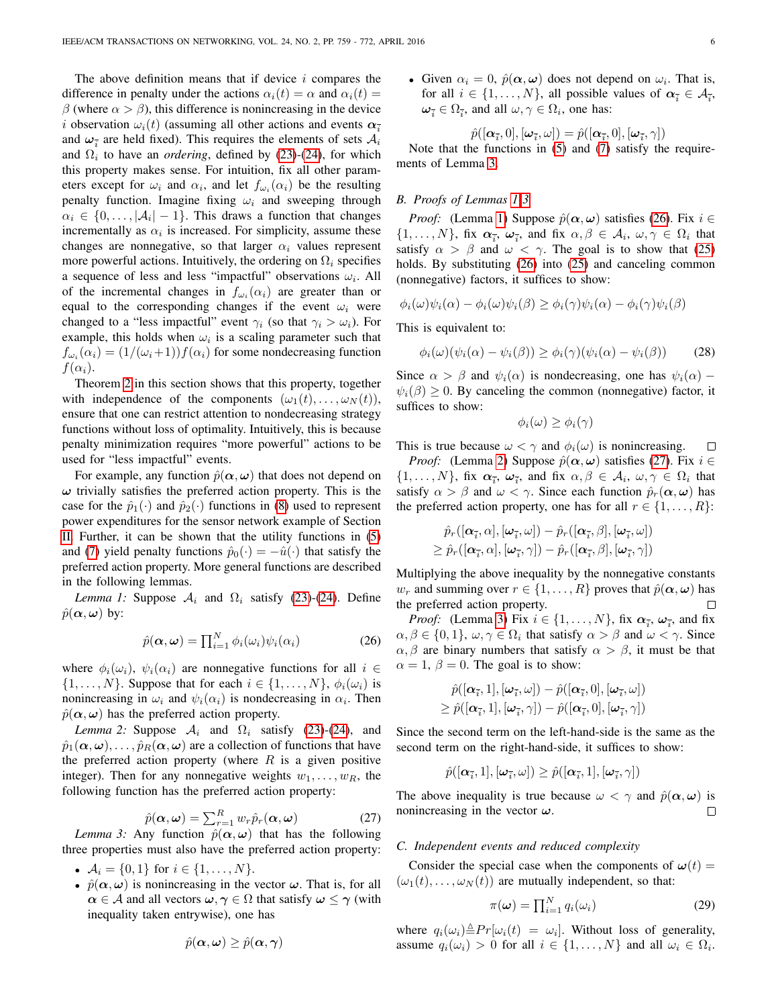The above definition means that if device  $i$  compares the difference in penalty under the actions  $\alpha_i(t) = \alpha$  and  $\alpha_i(t) =$ β (where  $\alpha > \beta$ ), this difference is nonincreasing in the device i observation  $\omega_i(t)$  (assuming all other actions and events  $\alpha_{\bar{i}}$ and  $\omega_{\bar{i}}$  are held fixed). This requires the elements of sets  $\mathcal{A}_i$ and  $\Omega_i$  to have an *ordering*, defined by [\(23\)](#page-4-4)-[\(24\)](#page-4-4), for which this property makes sense. For intuition, fix all other parameters except for  $\omega_i$  and  $\alpha_i$ , and let  $f_{\omega_i}(\alpha_i)$  be the resulting penalty function. Imagine fixing  $\omega_i$  and sweeping through  $\alpha_i \in \{0, \ldots, |\mathcal{A}_i| - 1\}$ . This draws a function that changes incrementally as  $\alpha_i$  is increased. For simplicity, assume these changes are nonnegative, so that larger  $\alpha_i$  values represent more powerful actions. Intuitively, the ordering on  $\Omega_i$  specifies a sequence of less and less "impactful" observations  $\omega_i$ . All of the incremental changes in  $f_{\omega_i}(\alpha_i)$  are greater than or equal to the corresponding changes if the event  $\omega_i$  were changed to a "less impactful" event  $\gamma_i$  (so that  $\gamma_i > \omega_i$ ). For example, this holds when  $\omega_i$  is a scaling parameter such that  $f_{\omega_i}(\alpha_i) = (1/(\omega_i+1))f(\alpha_i)$  for some nondecreasing function  $f(\alpha_i)$ .

Theorem [2](#page-6-0) in this section shows that this property, together with independence of the components  $(\omega_1(t), \dots, \omega_N(t)),$ ensure that one can restrict attention to nondecreasing strategy functions without loss of optimality. Intuitively, this is because penalty minimization requires "more powerful" actions to be used for "less impactful" events.

For example, any function  $\hat{p}(\alpha, \omega)$  that does not depend on  $\omega$  trivially satisfies the preferred action property. This is the case for the  $\hat{p}_1(\cdot)$  and  $\hat{p}_2(\cdot)$  functions in [\(8\)](#page-2-1) used to represent power expenditures for the sensor network example of Section [II.](#page-2-0) Further, it can be shown that the utility functions in [\(5\)](#page-1-2) and [\(7\)](#page-2-2) yield penalty functions  $\hat{p}_0(\cdot) = -\hat{u}(\cdot)$  that satisfy the preferred action property. More general functions are described in the following lemmas.

<span id="page-5-1"></span>*Lemma 1:* Suppose  $A_i$  and  $\Omega_i$  satisfy [\(23\)](#page-4-4)-[\(24\)](#page-4-4). Define  $\hat{p}(\alpha,\omega)$  by:

<span id="page-5-2"></span>
$$
\hat{p}(\alpha,\omega) = \prod_{i=1}^{N} \phi_i(\omega_i) \psi_i(\alpha_i)
$$
\n(26)

where  $\phi_i(\omega_i)$ ,  $\psi_i(\alpha_i)$  are nonnegative functions for all  $i \in$  $\{1, \ldots, N\}$ . Suppose that for each  $i \in \{1, \ldots, N\}$ ,  $\phi_i(\omega_i)$  is nonincreasing in  $\omega_i$  and  $\psi_i(\alpha_i)$  is nondecreasing in  $\alpha_i$ . Then  $\hat{p}(\alpha, \omega)$  has the preferred action property.

<span id="page-5-3"></span>*Lemma 2:* Suppose  $A_i$  and  $\Omega_i$  satisfy [\(23\)](#page-4-4)-[\(24\)](#page-4-4), and  $\hat{p}_1(\alpha,\omega), \ldots, \hat{p}_R(\alpha,\omega)$  are a collection of functions that have the preferred action property (where  $R$  is a given positive integer). Then for any nonnegative weights  $w_1, \ldots, w_R$ , the following function has the preferred action property:

<span id="page-5-4"></span>
$$
\hat{p}(\alpha,\omega) = \sum_{r=1}^{R} w_r \hat{p}_r(\alpha,\omega)
$$
\n(27)

<span id="page-5-0"></span>*Lemma 3:* Any function  $\hat{p}(\alpha, \omega)$  that has the following three properties must also have the preferred action property:

- $A_i = \{0, 1\}$  for  $i \in \{1, ..., N\}$ .
- $\hat{p}(\alpha,\omega)$  is nonincreasing in the vector  $\omega$ . That is, for all  $\alpha \in A$  and all vectors  $\omega, \gamma \in \Omega$  that satisfy  $\omega \leq \gamma$  (with inequality taken entrywise), one has

$$
\hat{p}(\boldsymbol{\alpha},\boldsymbol{\omega})\geq \hat{p}(\boldsymbol{\alpha},\boldsymbol{\gamma})
$$

• Given  $\alpha_i = 0$ ,  $\hat{p}(\alpha, \omega)$  does not depend on  $\omega_i$ . That is, for all  $i \in \{1, ..., N\}$ , all possible values of  $\alpha_{\overline{i}} \in A_{\overline{i}},$  $\omega_{\overline{i}} \in \Omega_{\overline{i}}$ , and all  $\omega, \gamma \in \Omega_i$ , one has:

$$
\hat{p}([\boldsymbol{\alpha}_{\bar{i}},0],[\boldsymbol{\omega}_{\bar{i}},\omega])=\hat{p}([\boldsymbol{\alpha}_{\bar{i}},0],[\boldsymbol{\omega}_{\bar{i}},\gamma])
$$

Note that the functions in [\(5\)](#page-1-2) and [\(7\)](#page-2-2) satisfy the requirements of Lemma [3.](#page-5-0)

## *B. Proofs of Lemmas [1](#page-5-1)[-3](#page-5-0)*

*Proof:* (Lemma [1\)](#page-5-1) Suppose  $\hat{p}(\alpha, \omega)$  satisfies [\(26\)](#page-5-2). Fix  $i \in$  $\{1,\ldots,N\}$ , fix  $\alpha_{\overline{i}}, \omega_{\overline{i}},$  and fix  $\alpha,\beta \in \mathcal{A}_i$ ,  $\omega,\gamma \in \Omega_i$  that satisfy  $\alpha > \beta$  and  $\omega < \gamma$ . The goal is to show that [\(25\)](#page-4-5) holds. By substituting [\(26\)](#page-5-2) into [\(25\)](#page-4-5) and canceling common (nonnegative) factors, it suffices to show:

$$
\phi_i(\omega)\psi_i(\alpha) - \phi_i(\omega)\psi_i(\beta) \ge \phi_i(\gamma)\psi_i(\alpha) - \phi_i(\gamma)\psi_i(\beta)
$$

This is equivalent to:

$$
\phi_i(\omega)(\psi_i(\alpha) - \psi_i(\beta)) \ge \phi_i(\gamma)(\psi_i(\alpha) - \psi_i(\beta)) \tag{28}
$$

Since  $\alpha > \beta$  and  $\psi_i(\alpha)$  is nondecreasing, one has  $\psi_i(\alpha)$  –  $\psi_i(\beta) \geq 0$ . By canceling the common (nonnegative) factor, it suffices to show:

$$
\phi_i(\omega) \ge \phi_i(\gamma)
$$

This is true because  $\omega < \gamma$  and  $\phi_i(\omega)$  is nonincreasing.  $\Box$ 

*Proof:* (Lemma [2\)](#page-5-3) Suppose  $\hat{p}(\alpha, \omega)$  satisfies [\(27\)](#page-5-4). Fix  $i \in$  $\{1,\ldots,N\}$ , fix  $\alpha_{\overline{i}}, \omega_{\overline{i}}$ , and fix  $\alpha,\beta \in \mathcal{A}_i$ ,  $\omega,\gamma \in \Omega_i$  that satisfy  $\alpha > \beta$  and  $\omega < \gamma$ . Since each function  $\hat{p}_r(\alpha, \omega)$  has the preferred action property, one has for all  $r \in \{1, \ldots, R\}$ :

$$
\hat{p}_r([\boldsymbol{\alpha}_{\overline{i}}, \alpha], [\boldsymbol{\omega}_{\overline{i}}, \omega]) - \hat{p}_r([\boldsymbol{\alpha}_{\overline{i}}, \beta], [\boldsymbol{\omega}_{\overline{i}}, \omega]) \ge \hat{p}_r([\boldsymbol{\alpha}_{\overline{i}}, \alpha], [\boldsymbol{\omega}_{\overline{i}}, \gamma]) - \hat{p}_r([\boldsymbol{\alpha}_{\overline{i}}, \beta], [\boldsymbol{\omega}_{\overline{i}}, \gamma])
$$

Multiplying the above inequality by the nonnegative constants  $w_r$  and summing over  $r \in \{1, \ldots, R\}$  proves that  $\hat{p}(\alpha, \omega)$  has the preferred action property.  $\Box$ 

*Proof:* (Lemma [3\)](#page-5-0) Fix  $i \in \{1, ..., N\}$ , fix  $\alpha_{\overline{i}}, \omega_{\overline{i}},$  and fix  $\alpha, \beta \in \{0, 1\}, \omega, \gamma \in \Omega_i$  that satisfy  $\alpha > \beta$  and  $\omega < \gamma$ . Since  $\alpha, \beta$  are binary numbers that satisfy  $\alpha > \beta$ , it must be that  $\alpha = 1, \beta = 0$ . The goal is to show:

$$
\begin{aligned} &\hat{p}([\boldsymbol{\alpha}_{\overline{i}},1],[\boldsymbol{\omega}_{\overline{i}},\omega])-\hat{p}([\boldsymbol{\alpha}_{\overline{i}},0],[\boldsymbol{\omega}_{\overline{i}},\omega])\\ &\geq \hat{p}([\boldsymbol{\alpha}_{\overline{i}},1],[\boldsymbol{\omega}_{\overline{i}},\gamma])-\hat{p}([\boldsymbol{\alpha}_{\overline{i}},0],[\boldsymbol{\omega}_{\overline{i}},\gamma]) \end{aligned}
$$

Since the second term on the left-hand-side is the same as the second term on the right-hand-side, it suffices to show:

$$
\hat{p}([\boldsymbol{\alpha}_{\overline{i}},1],[\boldsymbol{\omega}_{\overline{i}},\omega])\geq \hat{p}([\boldsymbol{\alpha}_{\overline{i}},1],[\boldsymbol{\omega}_{\overline{i}},\gamma])
$$

The above inequality is true because  $\omega < \gamma$  and  $\hat{p}(\alpha, \omega)$  is nonincreasing in the vector  $\omega$ .  $\Box$ 

# *C. Independent events and reduced complexity*

Consider the special case when the components of  $\omega(t) =$  $(\omega_1(t), \ldots, \omega_N(t))$  are mutually independent, so that:

<span id="page-5-5"></span>
$$
\pi(\omega) = \prod_{i=1}^{N} q_i(\omega_i)
$$
 (29)

where  $q_i(\omega_i) \triangleq Pr[\omega_i(t) = \omega_i]$ . Without loss of generality, assume  $q_i(\omega_i) > 0$  for all  $i \in \{1, ..., N\}$  and all  $\omega_i \in \Omega_i$ .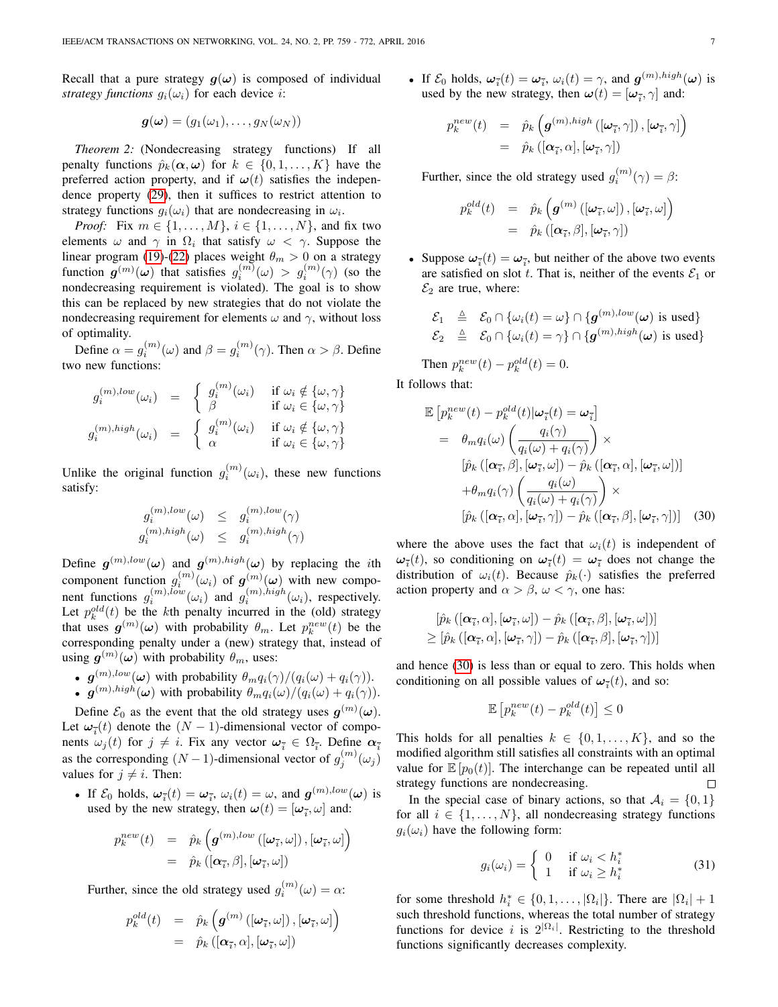Recall that a pure strategy  $g(\omega)$  is composed of individual *strategy functions*  $g_i(\omega_i)$  for each device *i*:

$$
\boldsymbol{g}(\boldsymbol{\omega})=(g_1(\omega_1),\ldots,g_N(\omega_N))
$$

<span id="page-6-0"></span>*Theorem 2:* (Nondecreasing strategy functions) If all penalty functions  $\hat{p}_k(\alpha, \omega)$  for  $k \in \{0, 1, ..., K\}$  have the preferred action property, and if  $\omega(t)$  satisfies the independence property [\(29\)](#page-5-5), then it suffices to restrict attention to strategy functions  $g_i(\omega_i)$  that are nondecreasing in  $\omega_i$ .

*Proof:* Fix  $m \in \{1, ..., M\}, i \in \{1, ..., N\}$ , and fix two elements  $\omega$  and  $\gamma$  in  $\Omega_i$  that satisfy  $\omega < \gamma$ . Suppose the linear program [\(19\)](#page-4-3)-[\(22\)](#page-4-3) places weight  $\theta_m > 0$  on a strategy function  $g^{(m)}(\omega)$  that satisfies  $g_i^{(m)}(\omega) > g_i^{(m)}(\gamma)$  (so the nondecreasing requirement is violated). The goal is to show this can be replaced by new strategies that do not violate the nondecreasing requirement for elements  $\omega$  and  $\gamma$ , without loss of optimality.

Define  $\alpha = g_i^{(m)}(\omega)$  and  $\beta = g_i^{(m)}(\gamma)$ . Then  $\alpha > \beta$ . Define two new functions:

$$
g_i^{(m),low}(\omega_i) = \begin{cases} g_i^{(m)}(\omega_i) & \text{if } \omega_i \notin \{\omega, \gamma\} \\ \beta & \text{if } \omega_i \in \{\omega, \gamma\} \end{cases}
$$

$$
g_i^{(m),high}(\omega_i) = \begin{cases} g_i^{(m)}(\omega_i) & \text{if } \omega_i \notin \{\omega, \gamma\} \\ \alpha & \text{if } \omega_i \in \{\omega, \gamma\} \end{cases}
$$

Unlike the original function  $g_i^{(m)}(\omega_i)$ , these new functions satisfy:

$$
\begin{array}{ccl} g_i^{(m),low}(\omega) & \leq & g_i^{(m),low}(\gamma) \\ g_i^{(m),high}(\omega) & \leq & g_i^{(m),high}(\gamma) \end{array}
$$

Define  $g^{(m),low}(\omega)$  and  $g^{(m),high}(\omega)$  by replacing the *i*th component function  $g_i^{(m)}(\omega_i)$  of  $g_j^{(m)}(\omega)$  with new component functions  $g_i^{(m),low}(\omega_i)$  and  $g_i^{(m),high}(\omega_i)$ , respectively. Let  $p_k^{old}(t)$  be the kth penalty incurred in the (old) strategy that uses  $g^{(m)}(\omega)$  with probability  $\theta_m$ . Let  $p_k^{new}(t)$  be the corresponding penalty under a (new) strategy that, instead of using  $g^{(m)}(\omega)$  with probability  $\theta_m$ , uses:

- $g^{(m),low}(\omega)$  with probability  $\theta_m q_i(\gamma)/(q_i(\omega) + q_i(\gamma)).$
- $g^{(m),high}(\omega)$  with probability  $\theta_m q_i(\omega)/(q_i(\omega) + q_i(\gamma)).$

Define  $\mathcal{E}_0$  as the event that the old strategy uses  $g^{(m)}(\omega)$ . Let  $\omega_{\overline{i}}(t)$  denote the  $(N-1)$ -dimensional vector of components  $\omega_j(t)$  for  $j \neq i$ . Fix any vector  $\omega_{\overline{i}} \in \Omega_{\overline{i}}$ . Define  $\alpha_{\overline{i}}$ as the corresponding  $(N-1)$ -dimensional vector of  $g_j^{(m)}(\omega_j)$ values for  $j \neq i$ . Then:

• If  $\mathcal{E}_0$  holds,  $\omega_{\bar{i}}(t) = \omega_{\bar{i}}, \omega_i(t) = \omega$ , and  $g^{(m),low}(\omega)$  is used by the new strategy, then  $\boldsymbol{\omega}(t) = [\boldsymbol{\omega}_{\bar{i}}, \omega]$  and:

$$
p_k^{new}(t) = \hat{p}_k \left( \boldsymbol{g}^{(m),low} \left( [\boldsymbol{\omega}_{\overline{i}}, \omega \right], [\boldsymbol{\omega}_{\overline{i}}, \omega] \right) = \hat{p}_k \left( [\boldsymbol{\alpha}_{\overline{i}}, \beta], [\boldsymbol{\omega}_{\overline{i}}, \omega] \right)
$$

Further, since the old strategy used  $g_i^{(m)}(\omega) = \alpha$ :

$$
p_k^{old}(t) = \hat{p}_k \left( \boldsymbol{g}^{(m)} \left( [\boldsymbol{\omega}_{\overline{i}}, \boldsymbol{\omega}] \right), [\boldsymbol{\omega}_{\overline{i}}, \boldsymbol{\omega}] \right) = \hat{p}_k \left( [\boldsymbol{\alpha}_{\overline{i}}, \boldsymbol{\alpha}], [\boldsymbol{\omega}_{\overline{i}}, \boldsymbol{\omega}] \right)
$$

• If  $\mathcal{E}_0$  holds,  $\omega_{\bar{i}}(t) = \omega_{\bar{i}}, \omega_i(t) = \gamma$ , and  $\mathbf{g}^{(m), high}(\omega)$  is used by the new strategy, then  $\boldsymbol{\omega}(t) = [\boldsymbol{\omega}_{\bar{i}}, \gamma]$  and:

$$
p_k^{new}(t) = \hat{p}_k \left( \boldsymbol{g}^{(m),high} \left( [\boldsymbol{\omega}_{\overline{i}}, \gamma] \right), [\boldsymbol{\omega}_{\overline{i}}, \gamma] \right) = \hat{p}_k \left( [\boldsymbol{\alpha}_{\overline{i}}, \alpha], [\boldsymbol{\omega}_{\overline{i}}, \gamma] \right)
$$

Further, since the old strategy used  $g_i^{(m)}(\gamma) = \beta$ :

$$
p_k^{old}(t) = \hat{p}_k\left(\boldsymbol{g}^{(m)}\left(\left[\boldsymbol{\omega}_{\overline{i}}, \omega\right]\right), \left[\boldsymbol{\omega}_{\overline{i}}, \omega\right]\right)
$$

$$
= \hat{p}_k\left(\left[\boldsymbol{\alpha}_{\overline{i}}, \beta\right], \left[\boldsymbol{\omega}_{\overline{i}}, \gamma\right]\right)
$$

• Suppose  $\omega_{\bar{i}}(t) = \omega_{\bar{i}}$ , but neither of the above two events are satisfied on slot t. That is, neither of the events  $\mathcal{E}_1$  or  $\mathcal{E}_2$  are true, where:

$$
\begin{array}{rcl}\n\mathcal{E}_1 & \triangleq & \mathcal{E}_0 \cap \{\omega_i(t) = \omega\} \cap \{\boldsymbol{g}^{(m), low}(\boldsymbol{\omega}) \text{ is used}\} \\
\mathcal{E}_2 & \triangleq & \mathcal{E}_0 \cap \{\omega_i(t) = \gamma\} \cap \{\boldsymbol{g}^{(m), high}(\boldsymbol{\omega}) \text{ is used}\}\n\end{array}
$$

Then  $p_k^{new}(t) - p_k^{old}(t) = 0$ .

It follows that:

<span id="page-6-1"></span>
$$
\mathbb{E}\left[p_k^{new}(t) - p_k^{old}(t)|\boldsymbol{\omega}_{\bar{i}}(t) = \boldsymbol{\omega}_{\bar{i}}\right]
$$
\n
$$
= \theta_m q_i(\omega) \left(\frac{q_i(\gamma)}{q_i(\omega) + q_i(\gamma)}\right) \times \left[\hat{p}_k\left([\boldsymbol{\alpha}_{\bar{i}}, \beta], [\boldsymbol{\omega}_{\bar{i}}, \omega]\right) - \hat{p}_k\left([\boldsymbol{\alpha}_{\bar{i}}, \alpha], [\boldsymbol{\omega}_{\bar{i}}, \omega]\right)\right]
$$
\n
$$
+ \theta_m q_i(\gamma) \left(\frac{q_i(\omega)}{q_i(\omega) + q_i(\gamma)}\right) \times \left[\hat{p}_k\left([\boldsymbol{\alpha}_{\bar{i}}, \alpha], [\boldsymbol{\omega}_{\bar{i}}, \gamma]\right) - \hat{p}_k\left([\boldsymbol{\alpha}_{\bar{i}}, \beta], [\boldsymbol{\omega}_{\bar{i}}, \gamma]\right)\right] \quad (30)
$$

where the above uses the fact that  $\omega_i(t)$  is independent of  $\omega_{\overline{i}}(t)$ , so conditioning on  $\omega_{\overline{i}}(t) = \omega_{\overline{i}}$  does not change the distribution of  $\omega_i(t)$ . Because  $\hat{p}_k(\cdot)$  satisfies the preferred action property and  $\alpha > \beta$ ,  $\omega < \gamma$ , one has:

$$
\begin{aligned} &[\hat{p}_k\left([\boldsymbol{\alpha}_{\overline{i}},\alpha],[\boldsymbol{\omega}_{\overline{i}},\omega]\right)-\hat{p}_k\left([\boldsymbol{\alpha}_{\overline{i}},\beta],[\boldsymbol{\omega}_{\overline{i}},\omega]\right)] \\ &\geq [\hat{p}_k\left([\boldsymbol{\alpha}_{\overline{i}},\alpha],[\boldsymbol{\omega}_{\overline{i}},\gamma]\right)-\hat{p}_k\left([\boldsymbol{\alpha}_{\overline{i}},\beta],[\boldsymbol{\omega}_{\overline{i}},\gamma]\right)] \end{aligned}
$$

and hence [\(30\)](#page-6-1) is less than or equal to zero. This holds when conditioning on all possible values of  $\omega_{\bar{i}}(t)$ , and so:

$$
\mathbb{E}\left[p_k^{new}(t) - p_k^{old}(t)\right] \le 0
$$

This holds for all penalties  $k \in \{0, 1, \ldots, K\}$ , and so the modified algorithm still satisfies all constraints with an optimal value for  $\mathbb{E}[p_0(t)]$ . The interchange can be repeated until all strategy functions are nondecreasing.  $\Box$ 

In the special case of binary actions, so that  $A_i = \{0, 1\}$ for all  $i \in \{1, \ldots, N\}$ , all nondecreasing strategy functions  $g_i(\omega_i)$  have the following form:

<span id="page-6-2"></span>
$$
g_i(\omega_i) = \begin{cases} 0 & \text{if } \omega_i < h_i^* \\ 1 & \text{if } \omega_i \ge h_i^* \end{cases} \tag{31}
$$

for some threshold  $h_i^* \in \{0, 1, ..., |\Omega_i|\}$ . There are  $|\Omega_i| + 1$ such threshold functions, whereas the total number of strategy functions for device i is  $2^{|\Omega_i|}$ . Restricting to the threshold functions significantly decreases complexity.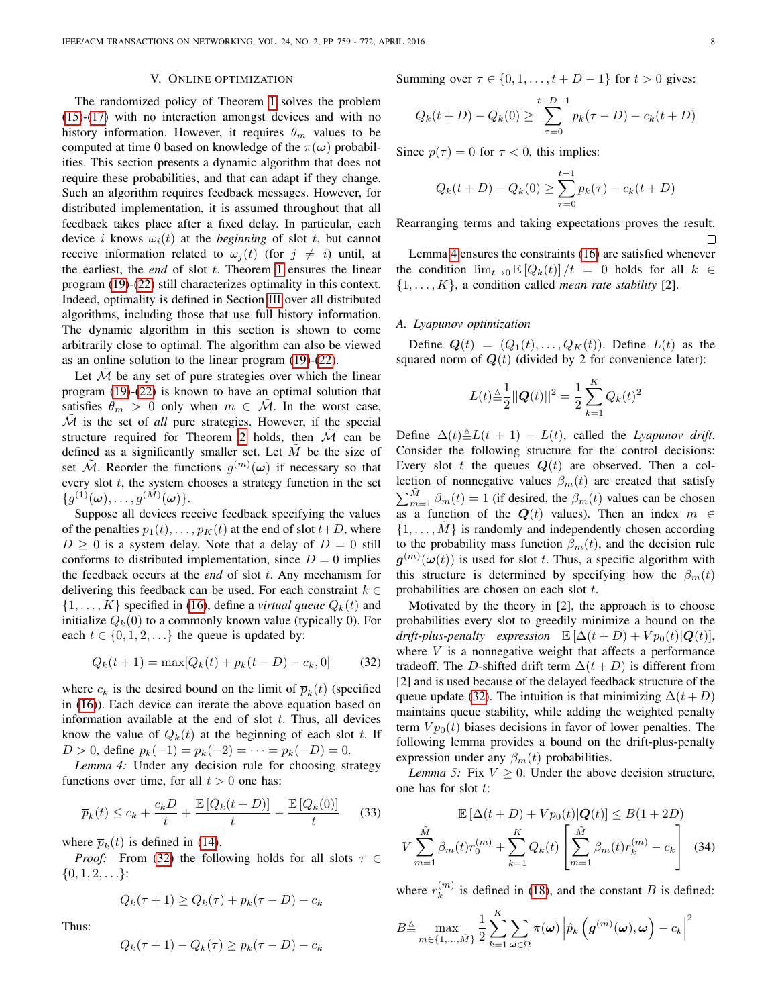#### V. ONLINE OPTIMIZATION

<span id="page-7-0"></span>The randomized policy of Theorem [1](#page-4-1) solves the problem [\(15\)](#page-4-2)-[\(17\)](#page-4-2) with no interaction amongst devices and with no history information. However, it requires  $\theta_m$  values to be computed at time 0 based on knowledge of the  $\pi(\omega)$  probabilities. This section presents a dynamic algorithm that does not require these probabilities, and that can adapt if they change. Such an algorithm requires feedback messages. However, for distributed implementation, it is assumed throughout that all feedback takes place after a fixed delay. In particular, each device *i* knows  $\omega_i(t)$  at the *beginning* of slot *t*, but cannot receive information related to  $\omega_i(t)$  (for  $j \neq i$ ) until, at the earliest, the *end* of slot t. Theorem [1](#page-4-1) ensures the linear program [\(19\)](#page-4-3)-[\(22\)](#page-4-3) still characterizes optimality in this context. Indeed, optimality is defined in Section [III](#page-3-0) over all distributed algorithms, including those that use full history information. The dynamic algorithm in this section is shown to come arbitrarily close to optimal. The algorithm can also be viewed as an online solution to the linear program [\(19\)](#page-4-3)-[\(22\)](#page-4-3).

Let  $M$  be any set of pure strategies over which the linear program [\(19\)](#page-4-3)-[\(22\)](#page-4-3) is known to have an optimal solution that satisfies  $\theta_m > 0$  only when  $m \in \mathcal{M}$ . In the worst case, M is the set of *all* pure strategies. However, if the special structure required for Theorem [2](#page-6-0) holds, then  $M$  can be defined as a significantly smaller set. Let  $M$  be the size of set  $\tilde{\mathcal{M}}$ . Reorder the functions  $g^{(m)}(\omega)$  if necessary so that every slot  $t$ , the system chooses a strategy function in the set  $\{g^{(1)}(\boldsymbol \omega), \ldots, g^{(\tilde{M})}(\boldsymbol \omega)\}.$ 

Suppose all devices receive feedback specifying the values of the penalties  $p_1(t), \ldots, p_K(t)$  at the end of slot  $t+D$ , where  $D \geq 0$  is a system delay. Note that a delay of  $D = 0$  still conforms to distributed implementation, since  $D = 0$  implies the feedback occurs at the *end* of slot t. Any mechanism for delivering this feedback can be used. For each constraint  $k \in$  $\{1, \ldots, K\}$  specified in [\(16\)](#page-4-2), define a *virtual queue*  $Q_k(t)$  and initialize  $Q_k(0)$  to a commonly known value (typically 0). For each  $t \in \{0, 1, 2, \ldots\}$  the queue is updated by:

<span id="page-7-1"></span>
$$
Q_k(t+1) = \max[Q_k(t) + p_k(t-D) - c_k, 0] \tag{32}
$$

where  $c_k$  is the desired bound on the limit of  $\overline{p}_k(t)$  (specified in [\(16\)](#page-4-2)). Each device can iterate the above equation based on information available at the end of slot  $t$ . Thus, all devices know the value of  $Q_k(t)$  at the beginning of each slot t. If  $D > 0$ , define  $p_k(-1) = p_k(-2) = \cdots = p_k(-D) = 0$ .

<span id="page-7-2"></span>*Lemma 4:* Under any decision rule for choosing strategy functions over time, for all  $t > 0$  one has:

<span id="page-7-4"></span>
$$
\overline{p}_k(t) \le c_k + \frac{c_k D}{t} + \frac{\mathbb{E}\left[Q_k(t+D)\right]}{t} - \frac{\mathbb{E}\left[Q_k(0)\right]}{t} \tag{33}
$$

where  $\bar{p}_k(t)$  is defined in [\(14\)](#page-4-6).

*Proof:* From [\(32\)](#page-7-1) the following holds for all slots  $\tau \in$  $\{0, 1, 2, \ldots\}$ :

$$
Q_k(\tau + 1) \ge Q_k(\tau) + p_k(\tau - D) - c_k
$$

Thus:

$$
Q_k(\tau + 1) - Q_k(\tau) \ge p_k(\tau - D) - c_k
$$

Summing over  $\tau \in \{0, 1, \ldots, t + D - 1\}$  for  $t > 0$  gives:

$$
Q_k(t+D) - Q_k(0) \ge \sum_{\tau=0}^{t+D-1} p_k(\tau-D) - c_k(t+D)
$$

Since  $p(\tau) = 0$  for  $\tau < 0$ , this implies:

$$
Q_k(t+D) - Q_k(0) \ge \sum_{\tau=0}^{t-1} p_k(\tau) - c_k(t+D)
$$

Rearranging terms and taking expectations proves the result.  $\Box$ 

Lemma [4](#page-7-2) ensures the constraints [\(16\)](#page-4-2) are satisfied whenever the condition  $\lim_{t\to 0} \mathbb{E}[Q_k(t)]/t = 0$  holds for all  $k \in$  $\{1, \ldots, K\}$ , a condition called *mean rate stability* [2].

### *A. Lyapunov optimization*

Define  $Q(t) = (Q_1(t), \ldots, Q_k(t))$ . Define  $L(t)$  as the squared norm of  $Q(t)$  (divided by 2 for convenience later):

$$
L(t) \triangleq \frac{1}{2} ||\mathbf{Q}(t)||^2 = \frac{1}{2} \sum_{k=1}^{K} Q_k(t)^2
$$

Define  $\Delta(t) \triangleq L(t + 1) - L(t)$ , called the *Lyapunov drift*. Consider the following structure for the control decisions: Every slot t the queues  $Q(t)$  are observed. Then a collection of nonnegative values  $\beta_m(t)$  are created that satisfy  $\sum_{m=1}^{\tilde{M}} \beta_m(t) = 1$  (if desired, the  $\beta_m(t)$  values can be chosen as a function of the  $Q(t)$  values). Then an index  $m \in$  $\{1, \ldots, M\}$  is randomly and independently chosen according to the probability mass function  $\beta_m(t)$ , and the decision rule  $g^{(m)}(\omega(t))$  is used for slot t. Thus, a specific algorithm with this structure is determined by specifying how the  $\beta_m(t)$ probabilities are chosen on each slot t.

Motivated by the theory in [2], the approach is to choose probabilities every slot to greedily minimize a bound on the *drift-plus-penalty expression*  $\mathbb{E}[\Delta(t+D) + Vp_0(t)|\mathbf{Q}(t)],$ where  $V$  is a nonnegative weight that affects a performance tradeoff. The D-shifted drift term  $\Delta(t+D)$  is different from [2] and is used because of the delayed feedback structure of the queue update [\(32\)](#page-7-1). The intuition is that minimizing  $\Delta(t+D)$ maintains queue stability, while adding the weighted penalty term  $V p_0(t)$  biases decisions in favor of lower penalties. The following lemma provides a bound on the drift-plus-penalty expression under any  $\beta_m(t)$  probabilities.

*Lemma 5:* Fix  $V \geq 0$ . Under the above decision structure, one has for slot t:

<span id="page-7-3"></span>
$$
\mathbb{E}\left[\Delta(t+D) + Vp_0(t)|\mathbf{Q}(t)\right] \le B(1+2D)
$$
\n
$$
V \sum_{m=1}^{\tilde{M}} \beta_m(t)r_0^{(m)} + \sum_{k=1}^K Q_k(t) \left[\sum_{m=1}^{\tilde{M}} \beta_m(t)r_k^{(m)} - c_k\right]
$$
\n(34)

where  $r_k^{(m)}$  $\binom{m}{k}$  is defined in [\(18\)](#page-4-7), and the constant B is defined:

$$
B \triangleq \max_{m \in \{1, ..., \tilde{M}\}} \frac{1}{2} \sum_{k=1}^{K} \sum_{\omega \in \Omega} \pi(\omega) \left| \hat{p}_k \left( \boldsymbol{g}^{(m)}(\omega), \omega \right) - c_k \right|^2
$$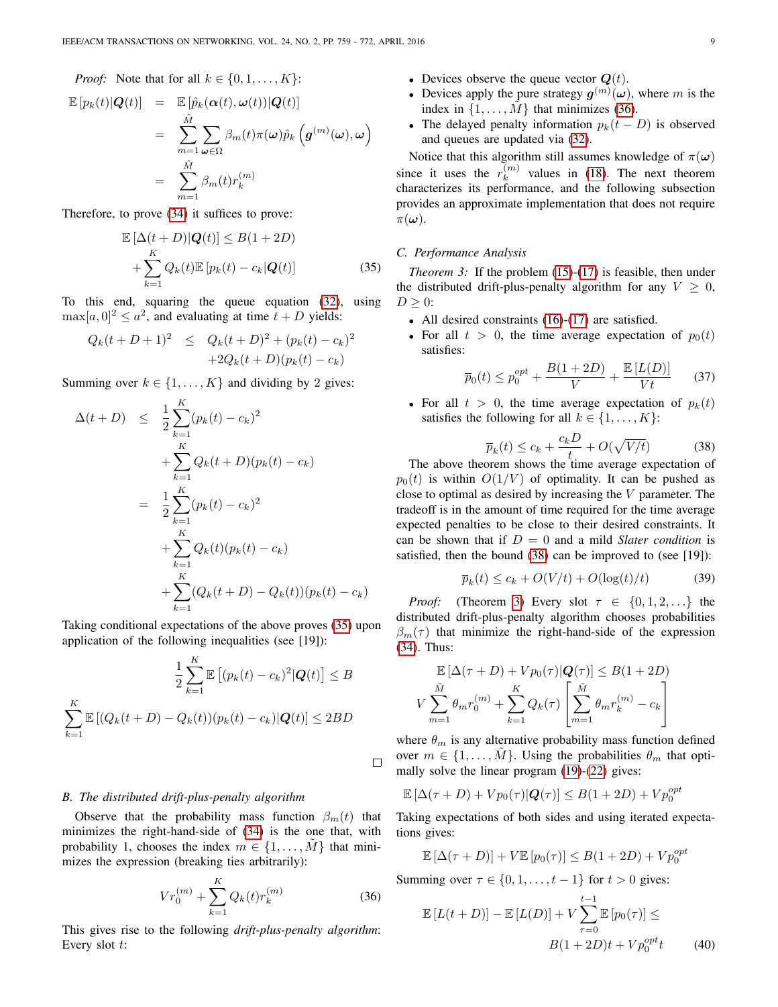*Proof:* Note that for all  $k \in \{0, 1, \ldots, K\}$ :

$$
\mathbb{E}\left[p_k(t)|\mathbf{Q}(t)\right] = \mathbb{E}\left[\hat{p}_k(\boldsymbol{\alpha}(t),\boldsymbol{\omega}(t))|Q(t)\right]
$$
  
\n
$$
= \sum_{m=1}^{\tilde{M}} \sum_{\boldsymbol{\omega}\in\Omega} \beta_m(t)\pi(\boldsymbol{\omega})\hat{p}_k\left(\boldsymbol{g}^{(m)}(\boldsymbol{\omega}),\boldsymbol{\omega}\right)
$$
  
\n
$$
= \sum_{m=1}^{\tilde{M}} \beta_m(t)r_k^{(m)}
$$

Therefore, to prove [\(34\)](#page-7-3) it suffices to prove:

<span id="page-8-0"></span>
$$
\mathbb{E}\left[\Delta(t+D)|\mathbf{Q}(t)\right] \le B(1+2D)
$$
  
+
$$
\sum_{k=1}^{K} Q_k(t) \mathbb{E}\left[p_k(t) - c_k|\mathbf{Q}(t)\right]
$$
(35)

To this end, squaring the queue equation [\(32\)](#page-7-1), using  $\max[a, 0]^2 \le a^2$ , and evaluating at time  $t + D$  yields:

$$
Q_k(t+D+1)^2 \leq Q_k(t+D)^2 + (p_k(t) - c_k)^2
$$
  
+2Q\_k(t+D)(p\_k(t) - c\_k)

Summing over  $k \in \{1, \ldots, K\}$  and dividing by 2 gives:

$$
\Delta(t+D) \leq \frac{1}{2} \sum_{k=1}^{K} (p_k(t) - c_k)^2
$$
  
+ 
$$
\sum_{k=1}^{K} Q_k(t+D)(p_k(t) - c_k)
$$
  
= 
$$
\frac{1}{2} \sum_{k=1}^{K} (p_k(t) - c_k)^2
$$
  
+ 
$$
\sum_{k=1}^{K} Q_k(t)(p_k(t) - c_k)
$$
  
+ 
$$
\sum_{k=1}^{K} (Q_k(t+D) - Q_k(t))(p_k(t) - c_k)
$$

Taking conditional expectations of the above proves [\(35\)](#page-8-0) upon application of the following inequalities (see [19]):

$$
\frac{1}{2} \sum_{k=1}^{K} \mathbb{E} \left[ (p_k(t) - c_k)^2 | \mathbf{Q}(t) \right] \le B
$$
  

$$
\sum_{k=1}^{K} \mathbb{E} \left[ (Q_k(t+D) - Q_k(t)) (p_k(t) - c_k) | \mathbf{Q}(t) \right] \le 2BD
$$

#### <span id="page-8-6"></span>*B. The distributed drift-plus-penalty algorithm*

Observe that the probability mass function  $\beta_m(t)$  that minimizes the right-hand-side of [\(34\)](#page-7-3) is the one that, with probability 1, chooses the index  $m \in \{1, \ldots, M\}$  that minimizes the expression (breaking ties arbitrarily):

<span id="page-8-1"></span>
$$
Vr_0^{(m)} + \sum_{k=1}^{K} Q_k(t)r_k^{(m)}
$$
\n(36)

This gives rise to the following *drift-plus-penalty algorithm*: Every slot t:

- Devices observe the queue vector  $Q(t)$ .
- Devices apply the pure strategy  $g^{(m)}(\omega)$ , where m is the index in  $\{1, \ldots, M\}$  that minimizes [\(36\)](#page-8-1).
- The delayed penalty information  $p_k(t D)$  is observed and queues are updated via [\(32\)](#page-7-1).

Notice that this algorithm still assumes knowledge of  $\pi(\omega)$ since it uses the  $r_k^{(m)}$  $\binom{m}{k}$  values in [\(18\)](#page-4-7). The next theorem characterizes its performance, and the following subsection provides an approximate implementation that does not require  $\pi(\boldsymbol{\omega})$ .

## *C. Performance Analysis*

<span id="page-8-3"></span>*Theorem 3:* If the problem [\(15\)](#page-4-2)-[\(17\)](#page-4-2) is feasible, then under the distributed drift-plus-penalty algorithm for any  $V \geq 0$ ,  $D \geq 0$ :

- All desired constraints [\(16\)](#page-4-2)-[\(17\)](#page-4-2) are satisfied.
- For all  $t > 0$ , the time average expectation of  $p_0(t)$ satisfies:

<span id="page-8-4"></span>
$$
\overline{p}_0(t) \le p_0^{opt} + \frac{B(1+2D)}{V} + \frac{\mathbb{E}\left[L(D)\right]}{Vt}
$$
 (37)

• For all  $t > 0$ , the time average expectation of  $p_k(t)$ satisfies the following for all  $k \in \{1, \ldots, K\}$ :

<span id="page-8-2"></span>
$$
\overline{p}_k(t) \le c_k + \frac{c_k D}{t} + O(\sqrt{V/t})\tag{38}
$$

The above theorem shows the time average expectation of  $p_0(t)$  is within  $O(1/V)$  of optimality. It can be pushed as close to optimal as desired by increasing the  $V$  parameter. The tradeoff is in the amount of time required for the time average expected penalties to be close to their desired constraints. It can be shown that if  $D = 0$  and a mild *Slater condition* is satisfied, then the bound [\(38\)](#page-8-2) can be improved to (see [19]):

$$
\overline{p}_k(t) \le c_k + O(V/t) + O(\log(t)/t)
$$
\n(39)

*Proof:* (Theorem [3\)](#page-8-3) Every slot  $\tau \in \{0, 1, 2, \ldots\}$  the distributed drift-plus-penalty algorithm chooses probabilities  $\beta_m(\tau)$  that minimize the right-hand-side of the expression [\(34\)](#page-7-3). Thus:

$$
\mathbb{E}\left[\Delta(\tau+D) + Vp_0(\tau)|\mathbf{Q}(\tau)\right] \le B(1+2D)
$$
\n
$$
V \sum_{m=1}^{\tilde{M}} \theta_m r_0^{(m)} + \sum_{k=1}^K Q_k(\tau) \left[\sum_{m=1}^{\tilde{M}} \theta_m r_k^{(m)} - c_k\right]
$$

where  $\theta_m$  is any alternative probability mass function defined over  $m \in \{1, \ldots, M\}$ . Using the probabilities  $\theta_m$  that optimally solve the linear program [\(19\)](#page-4-3)-[\(22\)](#page-4-3) gives:

$$
\mathbb{E}\left[\Delta(\tau+D)+Vp_0(\tau)|Q(\tau)\right]\leq B(1+2D)+Vp_0^{opt}
$$

Taking expectations of both sides and using iterated expectations gives:

$$
\mathbb{E}[\Delta(\tau+D)] + V \mathbb{E}[p_0(\tau)] \le B(1+2D) + V p_0^{opt}
$$

Summing over 
$$
\tau \in \{0, 1, \ldots, t-1\}
$$
 for  $t > 0$  gives:  

$$
t-1
$$

<span id="page-8-5"></span> $\mathbb{E}\left[ L \right]$ 

 $\Box$ 

$$
(t+D)] - \mathbb{E}[L(D)] + V \sum_{\tau=0}^{t} \mathbb{E}[p_0(\tau)] \le
$$
  
 
$$
B(1+2D)t + V p_0^{opt} t \qquad (40)
$$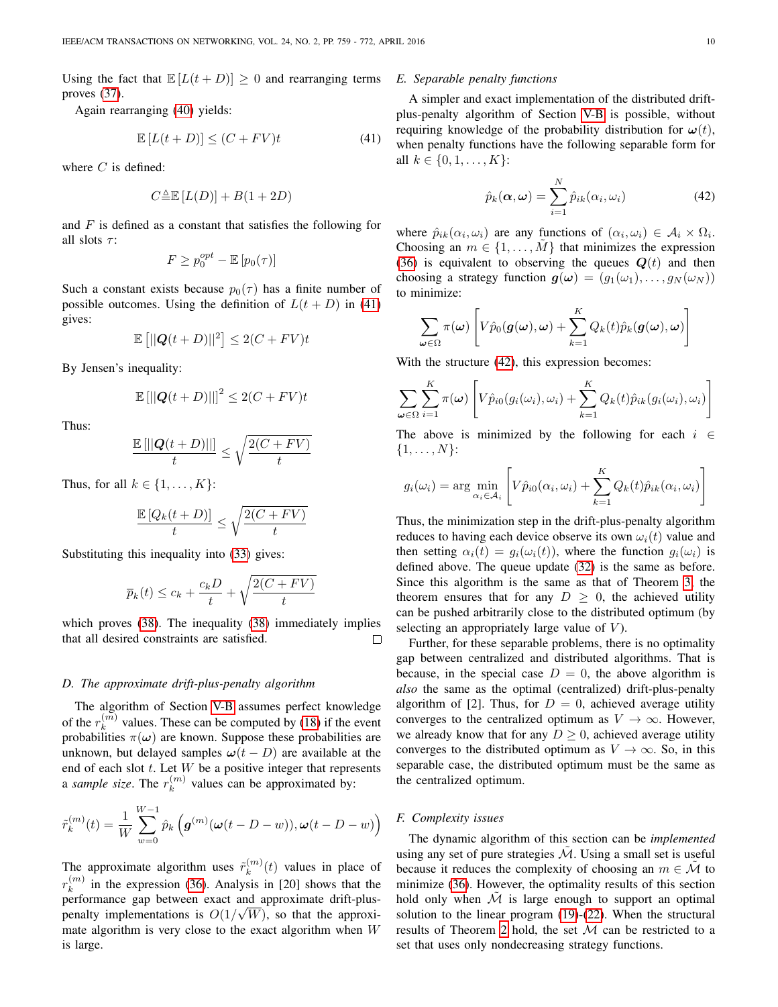Using the fact that  $\mathbb{E}[L(t+D)] \geq 0$  and rearranging terms proves [\(37\)](#page-8-4).

Again rearranging [\(40\)](#page-8-5) yields:

<span id="page-9-0"></span>
$$
\mathbb{E}\left[L(t+D)\right] \le (C + FV)t\tag{41}
$$

where  $C$  is defined:

$$
C^{\Delta}_{\equiv} \mathbb{E}\left[L(D)\right] + B(1+2D)
$$

and  $F$  is defined as a constant that satisfies the following for all slots  $\tau$ :

$$
F \ge p_0^{opt} - \mathbb{E}\left[p_0(\tau)\right]
$$

Such a constant exists because  $p_0(\tau)$  has a finite number of possible outcomes. Using the definition of  $L(t + D)$  in [\(41\)](#page-9-0) gives:

$$
\mathbb{E}\left[||\mathbf{Q}(t+D)||^2\right] \le 2(C+FV)t
$$

By Jensen's inequality:

$$
\mathbb{E}\left[\left\lvert\left\lvert\boldsymbol{Q}(t+D)\right\rvert\right\rvert\right]^2 \leq 2(C+FV)t
$$

Thus:

$$
\frac{\mathbb{E}\left[||\mathbf{Q}(t+D)||\right]}{t} \leq \sqrt{\frac{2(C+FV)}{t}}
$$

Thus, for all  $k \in \{1, \ldots, K\}$ :

$$
\frac{\mathbb{E}\left[Q_k(t+D)\right]}{t} \le \sqrt{\frac{2(C+FV)}{t}}
$$

Substituting this inequality into [\(33\)](#page-7-4) gives:

$$
\overline{p}_k(t) \le c_k + \frac{c_k D}{t} + \sqrt{\frac{2(C + FV)}{t}}
$$

which proves [\(38\)](#page-8-2). The inequality [\(38\)](#page-8-2) immediately implies that all desired constraints are satisfied. П

## <span id="page-9-2"></span>*D. The approximate drift-plus-penalty algorithm*

The algorithm of Section [V-B](#page-8-6) assumes perfect knowledge of the  $r_k^{(m)}$  $\binom{m}{k}$  values. These can be computed by [\(18\)](#page-4-7) if the event probabilities  $\pi(\omega)$  are known. Suppose these probabilities are unknown, but delayed samples  $\omega(t - D)$  are available at the end of each slot  $t$ . Let  $W$  be a positive integer that represents a *sample size*. The  $r_k^{(m)}$  $k^{(m)}$  values can be approximated by:

$$
\tilde{r}_k^{(m)}(t) = \frac{1}{W} \sum_{w=0}^{W-1} \hat{p}_k \left( \boldsymbol{g}^{(m)}(\boldsymbol{\omega}(t - D - w)), \boldsymbol{\omega}(t - D - w) \right)
$$

The approximate algorithm uses  $\tilde{r}_k^{(m)}$  $k^{(m)}(t)$  values in place of  $r_k^{(m)}$  $\binom{m}{k}$  in the expression [\(36\)](#page-8-1). Analysis in [20] shows that the performance gap between exact and approximate drift-pluspenalty implementations is  $O(1/\sqrt{W})$ , so that the approximate algorithm is very close to the exact algorithm when  $W$ is large.

#### *E. Separable penalty functions*

A simpler and exact implementation of the distributed driftplus-penalty algorithm of Section [V-B](#page-8-6) is possible, without requiring knowledge of the probability distribution for  $\omega(t)$ , when penalty functions have the following separable form for all  $k \in \{0, 1, \ldots, K\}$ :

<span id="page-9-1"></span>
$$
\hat{p}_k(\boldsymbol{\alpha},\boldsymbol{\omega}) = \sum_{i=1}^N \hat{p}_{ik}(\alpha_i,\omega_i)
$$
\n(42)

where  $\hat{p}_{ik}(\alpha_i, \omega_i)$  are any functions of  $(\alpha_i, \omega_i) \in A_i \times \Omega_i$ . Choosing an  $m \in \{1, \ldots, M\}$  that minimizes the expression [\(36\)](#page-8-1) is equivalent to observing the queues  $Q(t)$  and then choosing a strategy function  $g(\omega) = (g_1(\omega_1), \ldots, g_N(\omega_N))$ to minimize:

$$
\sum_{\boldsymbol{\omega}\in\Omega} \pi(\boldsymbol{\omega}) \left[ V\hat{p}_0(\boldsymbol{g}(\boldsymbol{\omega}),\boldsymbol{\omega}) + \sum_{k=1}^K Q_k(t) \hat{p}_k(\boldsymbol{g}(\boldsymbol{\omega}),\boldsymbol{\omega}) \right]
$$

With the structure  $(42)$ , this expression becomes:

$$
\sum_{\omega \in \Omega} \sum_{i=1}^{K} \pi(\omega) \left[ V \hat{p}_{i0}(g_i(\omega_i), \omega_i) + \sum_{k=1}^{K} Q_k(t) \hat{p}_{ik}(g_i(\omega_i), \omega_i) \right]
$$

The above is minimized by the following for each  $i \in$  $\{1, \ldots, N\}$ :

$$
g_i(\omega_i) = \arg \min_{\alpha_i \in \mathcal{A}_i} \left[ V \hat{p}_{i0}(\alpha_i, \omega_i) + \sum_{k=1}^K Q_k(t) \hat{p}_{ik}(\alpha_i, \omega_i) \right]
$$

Thus, the minimization step in the drift-plus-penalty algorithm reduces to having each device observe its own  $\omega_i(t)$  value and then setting  $\alpha_i(t) = g_i(\omega_i(t))$ , where the function  $g_i(\omega_i)$  is defined above. The queue update [\(32\)](#page-7-1) is the same as before. Since this algorithm is the same as that of Theorem [3,](#page-8-3) the theorem ensures that for any  $D \geq 0$ , the achieved utility can be pushed arbitrarily close to the distributed optimum (by selecting an appropriately large value of  $V$ ).

Further, for these separable problems, there is no optimality gap between centralized and distributed algorithms. That is because, in the special case  $D = 0$ , the above algorithm is *also* the same as the optimal (centralized) drift-plus-penalty algorithm of [2]. Thus, for  $D = 0$ , achieved average utility converges to the centralized optimum as  $V \to \infty$ . However, we already know that for any  $D \geq 0$ , achieved average utility converges to the distributed optimum as  $V \to \infty$ . So, in this separable case, the distributed optimum must be the same as the centralized optimum.

#### *F. Complexity issues*

The dynamic algorithm of this section can be *implemented* using any set of pure strategies  $M$ . Using a small set is useful because it reduces the complexity of choosing an  $m \in \mathcal{M}$  to minimize [\(36\)](#page-8-1). However, the optimality results of this section hold only when  $M$  is large enough to support an optimal solution to the linear program [\(19\)](#page-4-3)-[\(22\)](#page-4-3). When the structural results of Theorem [2](#page-6-0) hold, the set  $\tilde{M}$  can be restricted to a set that uses only nondecreasing strategy functions.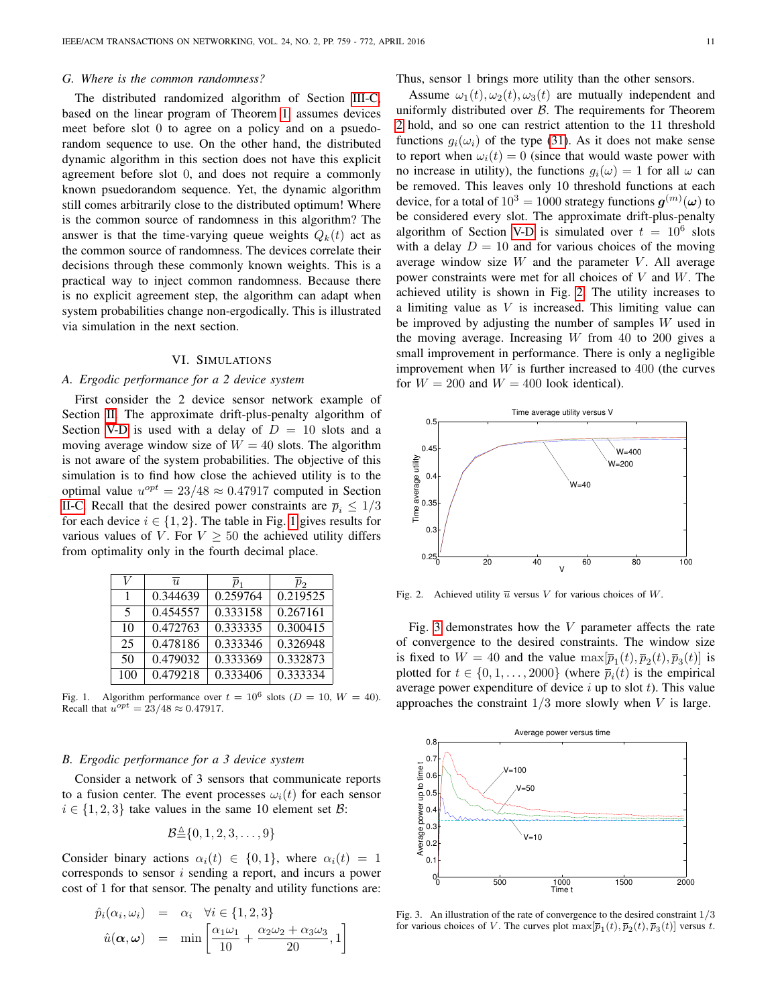#### *G. Where is the common randomness?*

The distributed randomized algorithm of Section [III-C,](#page-4-8) based on the linear program of Theorem [1,](#page-4-1) assumes devices meet before slot 0 to agree on a policy and on a psuedorandom sequence to use. On the other hand, the distributed dynamic algorithm in this section does not have this explicit agreement before slot 0, and does not require a commonly known psuedorandom sequence. Yet, the dynamic algorithm still comes arbitrarily close to the distributed optimum! Where is the common source of randomness in this algorithm? The answer is that the time-varying queue weights  $Q_k(t)$  act as the common source of randomness. The devices correlate their decisions through these commonly known weights. This is a practical way to inject common randomness. Because there is no explicit agreement step, the algorithm can adapt when system probabilities change non-ergodically. This is illustrated via simulation in the next section.

## VI. SIMULATIONS

## *A. Ergodic performance for a 2 device system*

First consider the 2 device sensor network example of Section [II.](#page-2-0) The approximate drift-plus-penalty algorithm of Section [V-D](#page-9-2) is used with a delay of  $D = 10$  slots and a moving average window size of  $W = 40$  slots. The algorithm is not aware of the system probabilities. The objective of this simulation is to find how close the achieved utility is to the optimal value  $u^{opt} = 23/48 \approx 0.47917$  computed in Section [II-C.](#page-2-3) Recall that the desired power constraints are  $\overline{p}_i \leq 1/3$ for each device  $i \in \{1, 2\}$ . The table in Fig. [1](#page-10-0) gives results for various values of V. For  $V \geq 50$  the achieved utility differs from optimality only in the fourth decimal place.

| V   | $\overline{\overline{u}}$ | $p_{1}$  | $p_2$    |
|-----|---------------------------|----------|----------|
| 1   | 0.344639                  | 0.259764 | 0.219525 |
| 5   | 0.454557                  | 0.333158 | 0.267161 |
| 10  | 0.472763                  | 0.333335 | 0.300415 |
| 25  | 0.478186                  | 0.333346 | 0.326948 |
| 50  | 0.479032                  | 0.333369 | 0.332873 |
| 100 | 0.479218                  | 0.333406 | 0.333334 |

<span id="page-10-0"></span>Fig. 1. Algorithm performance over  $t = 10^6$  slots ( $D = 10$ ,  $W = 40$ ). Recall that  $u^{opt} = 23/48 \approx 0.47917$ .

#### *B. Ergodic performance for a 3 device system*

Consider a network of 3 sensors that communicate reports to a fusion center. The event processes  $\omega_i(t)$  for each sensor  $i \in \{1, 2, 3\}$  take values in the same 10 element set B:

$$
\mathcal{B}^{\underline{\vartriangle}}\{0,1,2,3,\ldots,9\}
$$

Consider binary actions  $\alpha_i(t) \in \{0,1\}$ , where  $\alpha_i(t) = 1$ corresponds to sensor i sending a report, and incurs a power cost of 1 for that sensor. The penalty and utility functions are:

$$
\hat{p}_i(\alpha_i, \omega_i) = \alpha_i \quad \forall i \in \{1, 2, 3\}
$$
\n
$$
\hat{u}(\alpha, \omega) = \min \left[ \frac{\alpha_1 \omega_1}{10} + \frac{\alpha_2 \omega_2 + \alpha_3 \omega_3}{20}, 1 \right]
$$

Thus, sensor 1 brings more utility than the other sensors.

Assume  $\omega_1(t), \omega_2(t), \omega_3(t)$  are mutually independent and uniformly distributed over  $\beta$ . The requirements for Theorem [2](#page-6-0) hold, and so one can restrict attention to the 11 threshold functions  $g_i(\omega_i)$  of the type [\(31\)](#page-6-2). As it does not make sense to report when  $\omega_i(t) = 0$  (since that would waste power with no increase in utility), the functions  $g_i(\omega) = 1$  for all  $\omega$  can be removed. This leaves only 10 threshold functions at each device, for a total of  $10^3 = 1000$  strategy functions  $\boldsymbol{g}^{(m)}(\boldsymbol{\omega})$  to be considered every slot. The approximate drift-plus-penalty algorithm of Section [V-D](#page-9-2) is simulated over  $t = 10^6$  slots with a delay  $D = 10$  and for various choices of the moving average window size  $W$  and the parameter  $V$ . All average power constraints were met for all choices of V and W. The achieved utility is shown in Fig. [2.](#page-10-1) The utility increases to a limiting value as  $V$  is increased. This limiting value can be improved by adjusting the number of samples W used in the moving average. Increasing  $W$  from 40 to 200 gives a small improvement in performance. There is only a negligible improvement when  $W$  is further increased to 400 (the curves for  $W = 200$  and  $W = 400$  look identical).



<span id="page-10-1"></span>Fig. 2. Achieved utility  $\overline{u}$  versus V for various choices of W.

Fig. [3](#page-10-2) demonstrates how the  $V$  parameter affects the rate of convergence to the desired constraints. The window size is fixed to  $W = 40$  and the value  $\max[\bar{p}_1(t), \bar{p}_2(t), \bar{p}_3(t)]$  is plotted for  $t \in \{0, 1, \ldots, 2000\}$  (where  $\overline{p}_i(t)$  is the empirical average power expenditure of device  $i$  up to slot  $t$ ). This value approaches the constraint  $1/3$  more slowly when  $V$  is large.



<span id="page-10-2"></span>Fig. 3. An illustration of the rate of convergence to the desired constraint 1/3 for various choices of V. The curves plot  $\max[\overline{p}_1(t), \overline{p}_2(t), \overline{p}_3(t)]$  versus t.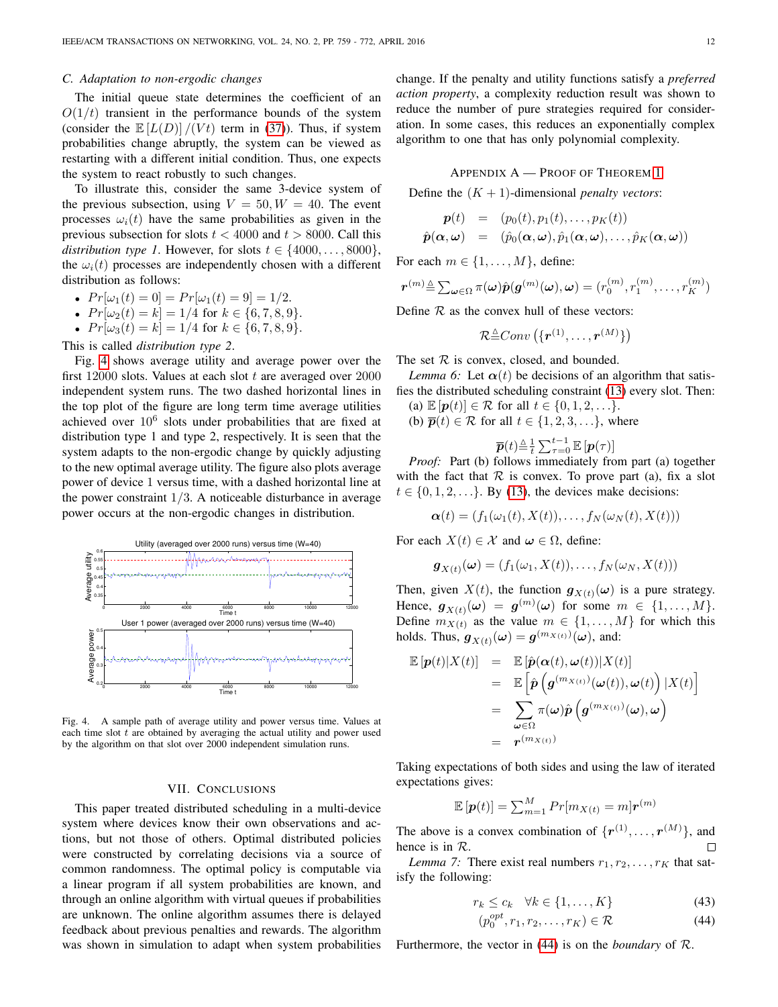## *C. Adaptation to non-ergodic changes*

The initial queue state determines the coefficient of an  $O(1/t)$  transient in the performance bounds of the system (consider the  $\mathbb{E}[L(D)]/(Vt)$  term in [\(37\)](#page-8-4)). Thus, if system probabilities change abruptly, the system can be viewed as restarting with a different initial condition. Thus, one expects the system to react robustly to such changes.

To illustrate this, consider the same 3-device system of the previous subsection, using  $V = 50, W = 40$ . The event processes  $\omega_i(t)$  have the same probabilities as given in the previous subsection for slots  $t < 4000$  and  $t > 8000$ . Call this *distribution type 1*. However, for slots  $t \in \{4000, \ldots, 8000\}$ , the  $\omega_i(t)$  processes are independently chosen with a different distribution as follows:

- $Pr[\omega_1(t) = 0] = Pr[\omega_1(t) = 9] = 1/2.$
- $Pr[\omega_2(t) = k] = 1/4$  for  $k \in \{6, 7, 8, 9\}.$
- $Pr[\omega_3(t) = k] = 1/4$  for  $k \in \{6, 7, 8, 9\}.$

This is called *distribution type 2*.

Fig. [4](#page-11-0) shows average utility and average power over the first  $12000$  slots. Values at each slot  $t$  are averaged over  $2000$ independent system runs. The two dashed horizontal lines in the top plot of the figure are long term time average utilities achieved over  $10^6$  slots under probabilities that are fixed at distribution type 1 and type 2, respectively. It is seen that the system adapts to the non-ergodic change by quickly adjusting to the new optimal average utility. The figure also plots average power of device 1 versus time, with a dashed horizontal line at the power constraint  $1/3$ . A noticeable disturbance in average power occurs at the non-ergodic changes in distribution.



<span id="page-11-0"></span>Fig. 4. A sample path of average utility and power versus time. Values at each time slot  $t$  are obtained by averaging the actual utility and power used by the algorithm on that slot over 2000 independent simulation runs.

### VII. CONCLUSIONS

This paper treated distributed scheduling in a multi-device system where devices know their own observations and actions, but not those of others. Optimal distributed policies were constructed by correlating decisions via a source of common randomness. The optimal policy is computable via a linear program if all system probabilities are known, and through an online algorithm with virtual queues if probabilities are unknown. The online algorithm assumes there is delayed feedback about previous penalties and rewards. The algorithm was shown in simulation to adapt when system probabilities change. If the penalty and utility functions satisfy a *preferred action property*, a complexity reduction result was shown to reduce the number of pure strategies required for consideration. In some cases, this reduces an exponentially complex algorithm to one that has only polynomial complexity.

# APPENDIX A — PROOF OF THEOREM [1](#page-4-1)

Define the  $(K + 1)$ -dimensional *penalty vectors*:

$$
\begin{array}{rcl} \boldsymbol{p}(t) & = & (p_0(t), p_1(t), \ldots, p_K(t)) \\ \hat{\boldsymbol{p}}(\boldsymbol{\alpha}, \boldsymbol{\omega}) & = & (\hat{p}_0(\boldsymbol{\alpha}, \boldsymbol{\omega}), \hat{p}_1(\boldsymbol{\alpha}, \boldsymbol{\omega}), \ldots, \hat{p}_K(\boldsymbol{\alpha}, \boldsymbol{\omega})) \end{array}
$$

For each  $m \in \{1, \ldots, M\}$ , define:

$$
\boldsymbol{r}^{(m)} \triangleq \sum_{\boldsymbol{\omega} \in \Omega} \pi(\boldsymbol{\omega}) \hat{\boldsymbol{p}}(\boldsymbol{g}^{(m)}(\boldsymbol{\omega}), \boldsymbol{\omega}) = (r_0^{(m)}, r_1^{(m)}, \dots, r_K^{(m)})
$$

Define  $R$  as the convex hull of these vectors:

$$
\mathcal{R} {\triangleq} Conv\left(\{\bm{r}^{(1)},\ldots,\bm{r}^{(M)}\}\right)
$$

The set  $R$  is convex, closed, and bounded.

<span id="page-11-2"></span>*Lemma 6:* Let  $\alpha(t)$  be decisions of an algorithm that satisfies the distributed scheduling constraint [\(13\)](#page-3-2) every slot. Then:

- (a)  $\mathbb{E}[\boldsymbol{p}(t)] \in \mathcal{R}$  for all  $t \in \{0, 1, 2, \ldots\}.$
- (b)  $\overline{p}(t) \in \mathcal{R}$  for all  $t \in \{1, 2, 3, \ldots\}$ , where

$$
\overline{\boldsymbol{p}}(t){\triangleq}\tfrac{1}{t}\sum_{\tau=0}^{t-1}\mathbb{E}\left[\boldsymbol{p}(\tau)\right]
$$

*P*( $\ell$ )=  $\ell$   $\mathcal{L}_{\tau=0} = [\mathbf{P}(\ell)]$ <br>*Proof:* Part (b) follows immediately from part (a) together with the fact that  $R$  is convex. To prove part (a), fix a slot  $t \in \{0, 1, 2, \ldots\}$ . By [\(13\)](#page-3-2), the devices make decisions:

$$
\boldsymbol{\alpha}(t)=(f_1(\omega_1(t),X(t)),\ldots,f_N(\omega_N(t),X(t)))
$$

For each  $X(t) \in \mathcal{X}$  and  $\omega \in \Omega$ , define:

$$
\boldsymbol{g}_{X(t)}(\boldsymbol{\omega})=(f_1(\omega_1,X(t)),\ldots,f_N(\omega_N,X(t)))
$$

Then, given  $X(t)$ , the function  $g_{X(t)}(\omega)$  is a pure strategy. Hence,  $\boldsymbol{g}_{X(t)}(\boldsymbol{\omega}) = \boldsymbol{g}^{(m)}(\boldsymbol{\omega})$  for some  $m \in \{1, \dots, M\}.$ Define  $m_{X(t)}$  as the value  $m \in \{1, \ldots, M\}$  for which this holds. Thus,  $g_{X(t)}(\omega) = g^{(m_{X(t)})}(\omega)$ , and:

$$
\mathbb{E}[\boldsymbol{p}(t)|X(t)] = \mathbb{E}[\hat{\boldsymbol{p}}(\boldsymbol{\alpha}(t),\boldsymbol{\omega}(t))|X(t)] \n= \mathbb{E}[\hat{\boldsymbol{p}}(\boldsymbol{g}^{(m_{X(t)})}(\boldsymbol{\omega}(t)),\boldsymbol{\omega}(t))|X(t)] \n= \sum_{\boldsymbol{\omega}\in\Omega} \pi(\boldsymbol{\omega})\hat{\boldsymbol{p}}(\boldsymbol{g}^{(m_{X(t)})}(\boldsymbol{\omega}),\boldsymbol{\omega}) \n= \boldsymbol{r}^{(m_{X(t)})}
$$

Taking expectations of both sides and using the law of iterated expectations gives:

$$
\mathbb{E}\left[\boldsymbol{p}(t)\right] = \sum_{m=1}^{M} Pr[m_{X(t)} = m]\boldsymbol{r}^{(m)}
$$

The above is a convex combination of  $\{r^{(1)}, \ldots, r^{(M)}\}$ , and hence is in R. П

<span id="page-11-3"></span>*Lemma 7:* There exist real numbers  $r_1, r_2, \ldots, r_K$  that satisfy the following:

<span id="page-11-1"></span>
$$
r_k \le c_k \quad \forall k \in \{1, \dots, K\} \tag{43}
$$

$$
p_0^{opt}, r_1, r_2, \dots, r_K) \in \mathcal{R}
$$
\n<sup>(44)</sup>

Furthermore, the vector in [\(44\)](#page-11-1) is on the *boundary* of R.

 $\left($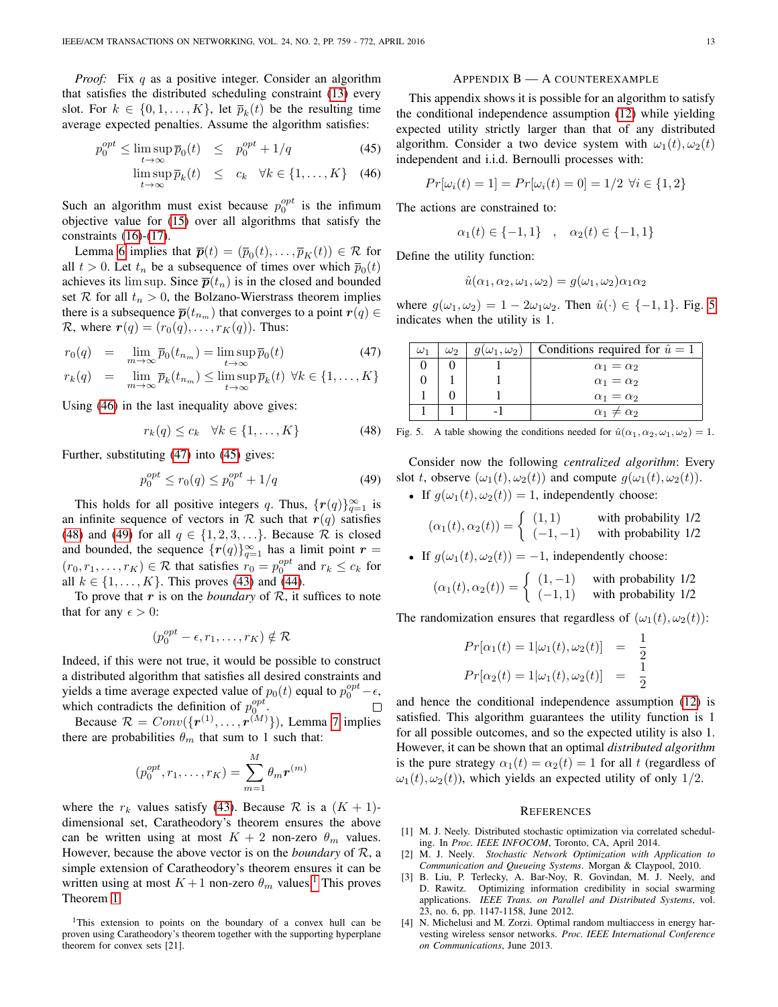*Proof:* Fix q as a positive integer. Consider an algorithm that satisfies the distributed scheduling constraint [\(13\)](#page-3-2) every slot. For  $k \in \{0, 1, ..., K\}$ , let  $\overline{p}_k(t)$  be the resulting time average expected penalties. Assume the algorithm satisfies:

<span id="page-12-0"></span>
$$
p_0^{opt} \le \limsup_{t \to \infty} \overline{p}_0(t) \le p_0^{opt} + 1/q \tag{45}
$$

$$
\limsup_{t \to \infty} \overline{p}_k(t) \le c_k \quad \forall k \in \{1, ..., K\} \quad (46)
$$

Such an algorithm must exist because  $p_0^{opt}$  is the infimum objective value for [\(15\)](#page-4-2) over all algorithms that satisfy the constraints [\(16\)](#page-4-2)-[\(17\)](#page-4-2).

Lemma [6](#page-11-2) implies that  $\overline{p}(t) = (\overline{p}_0(t), \dots, \overline{p}_K(t)) \in \mathcal{R}$  for all  $t > 0$ . Let  $t_n$  be a subsequence of times over which  $\overline{p}_0(t)$ achieves its lim sup. Since  $\bar{p}(t_n)$  is in the closed and bounded set R for all  $t_n > 0$ , the Bolzano-Wierstrass theorem implies there is a subsequence  $\overline{p}(t_{n_m})$  that converges to a point  $r(q) \in$ R, where  $\mathbf{r}(q) = (r_0(q), \dots, r_K(q))$ . Thus:

<span id="page-12-1"></span>
$$
r_0(q) = \lim_{m \to \infty} \overline{p}_0(t_{n_m}) = \limsup_{t \to \infty} \overline{p}_0(t)
$$
\n(47)

$$
r_k(q) = \lim_{m \to \infty} \overline{p}_k(t_{n_m}) \le \limsup_{t \to \infty} \overline{p}_k(t) \ \forall k \in \{1, ..., K\}
$$

Using [\(46\)](#page-12-0) in the last inequality above gives:

<span id="page-12-2"></span>
$$
r_k(q) \le c_k \quad \forall k \in \{1, \dots, K\} \tag{48}
$$

Further, substituting [\(47\)](#page-12-1) into [\(45\)](#page-12-0) gives:

<span id="page-12-3"></span>
$$
p_0^{opt} \le r_0(q) \le p_0^{opt} + 1/q \tag{49}
$$

This holds for all positive integers q. Thus,  $\{r(q)\}_{q=1}^{\infty}$  is an infinite sequence of vectors in  $R$  such that  $r(q)$  satisfies [\(48\)](#page-12-2) and [\(49\)](#page-12-3) for all  $q \in \{1, 2, 3, \ldots\}$ . Because  $\mathcal R$  is closed and bounded, the sequence  $\{r(q)\}_{q=1}^{\infty}$  has a limit point  $r =$  $(r_0, r_1, \ldots, r_K) \in \mathcal{R}$  that satisfies  $r_0 = p_0^{opt}$  and  $r_k \leq c_k$  for all  $k \in \{1, ..., K\}$ . This proves [\(43\)](#page-11-1) and [\(44\)](#page-11-1).

To prove that  $r$  is on the *boundary* of  $\mathcal{R}$ , it suffices to note that for any  $\epsilon > 0$ :

$$
(p_0^{opt} - \epsilon, r_1, \dots, r_K) \notin \mathcal{R}
$$

Indeed, if this were not true, it would be possible to construct a distributed algorithm that satisfies all desired constraints and yields a time average expected value of  $p_0(t)$  equal to  $p_0^{opt} - \epsilon$ , which contradicts the definition of  $p_0^{opt}$ .  $\Box$ 

Because  $\mathcal{R} = Conv(\lbrace {\boldsymbol{r}}^{(1)}, \ldots, {\boldsymbol{r}}^{(M)} \rbrace)$ , Lemma [7](#page-11-3) implies there are probabilities  $\theta_m$  that sum to 1 such that:

$$
(p_0^{opt}, r_1, \dots, r_K) = \sum_{m=1}^{M} \theta_m r^{(m)}
$$

where the  $r_k$  values satisfy [\(43\)](#page-11-1). Because  $\mathcal R$  is a  $(K + 1)$ dimensional set, Caratheodory's theorem ensures the above can be written using at most  $K + 2$  non-zero  $\theta_m$  values. However, because the above vector is on the *boundary* of R, a simple extension of Caratheodory's theorem ensures it can be written using at most  $K + 1$  $K + 1$  non-zero  $\theta_m$  values.<sup>1</sup> This proves Theorem [1.](#page-4-1)

<span id="page-12-4"></span><sup>1</sup>This extension to points on the boundary of a convex hull can be proven using Caratheodory's theorem together with the supporting hyperplane theorem for convex sets [21].

## APPENDIX B — A COUNTEREXAMPLE

This appendix shows it is possible for an algorithm to satisfy the conditional independence assumption [\(12\)](#page-3-1) while yielding expected utility strictly larger than that of any distributed algorithm. Consider a two device system with  $\omega_1(t), \omega_2(t)$ independent and i.i.d. Bernoulli processes with:

$$
Pr[\omega_i(t) = 1] = Pr[\omega_i(t) = 0] = 1/2 \,\,\forall i \in \{1, 2\}
$$

The actions are constrained to:

$$
\alpha_1(t) \in \{-1, 1\} \quad , \quad \alpha_2(t) \in \{-1, 1\}
$$

Define the utility function:

$$
\hat{u}(\alpha_1, \alpha_2, \omega_1, \omega_2) = g(\omega_1, \omega_2)\alpha_1\alpha_2
$$

where  $g(\omega_1, \omega_2) = 1 - 2\omega_1\omega_2$ . Then  $\hat{u}(\cdot) \in \{-1, 1\}$ . Fig. [5](#page-12-5) indicates when the utility is 1.

| $\omega_1$ | $\omega_2$ | $q(\omega_1, \omega_2)$ | Conditions required for $\hat{u} = 1$ |
|------------|------------|-------------------------|---------------------------------------|
|            |            |                         | $\alpha_1 = \alpha_2$                 |
|            |            |                         | $\alpha_1 = \alpha_2$                 |
|            |            |                         | $\alpha_1 = \alpha_2$                 |
|            |            |                         | $\alpha_1 \neq \alpha_2$              |

<span id="page-12-5"></span>Fig. 5. A table showing the conditions needed for  $\hat{u}(\alpha_1, \alpha_2, \omega_1, \omega_2) = 1$ .

Consider now the following *centralized algorithm*: Every slot t, observe  $(\omega_1(t), \omega_2(t))$  and compute  $g(\omega_1(t), \omega_2(t))$ .

• If  $g(\omega_1(t), \omega_2(t)) = 1$ , independently choose:

$$
(\alpha_1(t), \alpha_2(t)) = \begin{cases} (1,1) & \text{with probability } 1/2\\ (-1,-1) & \text{with probability } 1/2 \end{cases}
$$

• If 
$$
g(\omega_1(t), \omega_2(t)) = -1
$$
, independently choose:

$$
(\alpha_1(t), \alpha_2(t)) = \begin{cases} (1, -1) & \text{with probability } 1/2\\ (-1, 1) & \text{with probability } 1/2 \end{cases}
$$

The randomization ensures that regardless of  $(\omega_1(t), \omega_2(t))$ :

$$
Pr[\alpha_1(t) = 1 | \omega_1(t), \omega_2(t)] = \frac{1}{2}
$$
  

$$
Pr[\alpha_2(t) = 1 | \omega_1(t), \omega_2(t)] = \frac{1}{2}
$$

and hence the conditional independence assumption [\(12\)](#page-3-1) is satisfied. This algorithm guarantees the utility function is 1 for all possible outcomes, and so the expected utility is also 1. However, it can be shown that an optimal *distributed algorithm* is the pure strategy  $\alpha_1(t) = \alpha_2(t) = 1$  for all t (regardless of  $\omega_1(t), \omega_2(t)$ , which yields an expected utility of only 1/2.

#### **REFERENCES**

- [1] M. J. Neely. Distributed stochastic optimization via correlated scheduling. In *Proc. IEEE INFOCOM*, Toronto, CA, April 2014.
- [2] M. J. Neely. *Stochastic Network Optimization with Application to Communication and Queueing Systems*. Morgan & Claypool, 2010.
- [3] B. Liu, P. Terlecky, A. Bar-Noy, R. Govindan, M. J. Neely, and D. Rawitz. Optimizing information credibility in social swarming applications. *IEEE Trans. on Parallel and Distributed Systems*, vol. 23, no. 6, pp. 1147-1158, June 2012.
- [4] N. Michelusi and M. Zorzi. Optimal random multiaccess in energy harvesting wireless sensor networks. *Proc. IEEE International Conference on Communications*, June 2013.